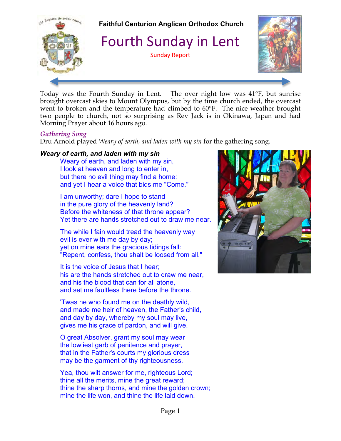

Today was the Fourth Sunday in Lent. The over night low was 41°F, but sunrise brought overcast skies to Mount Olympus, but by the time church ended, the overcast went to broken and the temperature had climbed to 60°F. The nice weather brought two people to church, not so surprising as Rev Jack is in Okinawa, Japan and had Morning Prayer about 16 hours ago.

#### *Gathering Song*

Dru Arnold played *Weary of earth, and laden with my sin* for the gathering song.

# *Weary of earth, and laden with my sin*

Weary of earth, and laden with my sin, I look at heaven and long to enter in, but there no evil thing may find a home: and yet I hear a voice that bids me "Come."

I am unworthy; dare I hope to stand in the pure glory of the heavenly land? Before the whiteness of that throne appear? Yet there are hands stretched out to draw me near.

The while I fain would tread the heavenly way evil is ever with me day by day; yet on mine ears the gracious tidings fall: "Repent, confess, thou shalt be loosed from all."

It is the voice of Jesus that I hear; his are the hands stretched out to draw me near, and his the blood that can for all atone, and set me faultless there before the throne.

'Twas he who found me on the deathly wild, and made me heir of heaven, the Father's child, and day by day, whereby my soul may live, gives me his grace of pardon, and will give.

O great Absolver, grant my soul may wear the lowliest garb of penitence and prayer, that in the Father's courts my glorious dress may be the garment of thy righteousness.

Yea, thou wilt answer for me, righteous Lord; thine all the merits, mine the great reward; thine the sharp thorns, and mine the golden crown; mine the life won, and thine the life laid down.

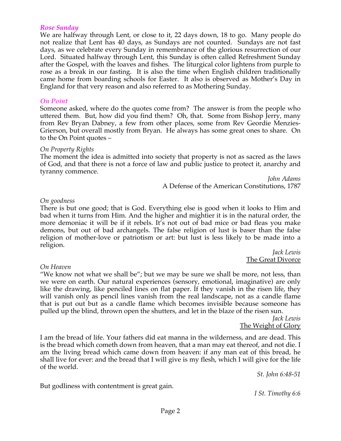#### *Rose Sunday*

We are halfway through Lent, or close to it, 22 days down, 18 to go. Many people do not realize that Lent has 40 days, as Sundays are not counted. Sundays are not fast days, as we celebrate every Sunday in remembrance of the glorious resurrection of our Lord. Situated halfway through Lent, this Sunday is often called Refreshment Sunday after the Gospel, with the loaves and fishes. The liturgical color lightens from purple to rose as a break in our fasting. It is also the time when English children traditionally came home from boarding schools for Easter. It also is observed as Mother's Day in England for that very reason and also referred to as Mothering Sunday.

#### *On Point*

Someone asked, where do the quotes come from? The answer is from the people who uttered them. But, how did you find them? Oh, that. Some from Bishop Jerry, many from Rev Bryan Dabney, a few from other places, some from Rev Geordie Menzies-Grierson, but overall mostly from Bryan. He always has some great ones to share. On to the On Point quotes –

#### *On Property Rights*

The moment the idea is admitted into society that property is not as sacred as the laws of God, and that there is not a force of law and public justice to protect it, anarchy and tyranny commence.

> *John Adams* A Defense of the American Constitutions, 1787

#### *On goodness*

There is but one good; that is God. Everything else is good when it looks to Him and bad when it turns from Him. And the higher and mightier it is in the natural order, the more demoniac it will be if it rebels. It's not out of bad mice or bad fleas you make demons, but out of bad archangels. The false religion of lust is baser than the false religion of mother-love or patriotism or art: but lust is less likely to be made into a religion.

> *Jack Lewis* The Great Divorce

#### *On Heaven*

"We know not what we shall be"; but we may be sure we shall be more, not less, than we were on earth. Our natural experiences (sensory, emotional, imaginative) are only like the drawing, like penciled lines on flat paper. If they vanish in the risen life, they will vanish only as pencil lines vanish from the real landscape, not as a candle flame that is put out but as a candle flame which becomes invisible because someone has pulled up the blind, thrown open the shutters, and let in the blaze of the risen sun.

*Jack Lewis* The Weight of Glory

I am the bread of life. Your fathers did eat manna in the wilderness, and are dead. This is the bread which cometh down from heaven, that a man may eat thereof, and not die. I am the living bread which came down from heaven: if any man eat of this bread, he shall live for ever: and the bread that I will give is my flesh, which I will give for the life of the world.

*St. John 6:48-51*

But godliness with contentment is great gain.

*I St. Timothy 6:6*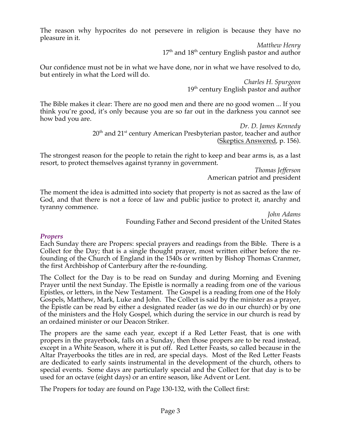The reason why hypocrites do not persevere in religion is because they have no pleasure in it.

> *Matthew Henry*  $17<sup>th</sup>$  and  $18<sup>th</sup>$  century English pastor and author

Our confidence must not be in what we have done, nor in what we have resolved to do, but entirely in what the Lord will do.

> *Charles H. Spurgeon* 19<sup>th</sup> century English pastor and author

The Bible makes it clear: There are no good men and there are no good women ... If you think you're good, it's only because you are so far out in the darkness you cannot see how bad you are.

> *Dr. D. James Kennedy*  $20<sup>th</sup>$  and  $21<sup>st</sup>$  century American Presbyterian pastor, teacher and author (Skeptics Answered, p. 156).

The strongest reason for the people to retain the right to keep and bear arms is, as a last resort, to protect themselves against tyranny in government.

*Thomas Jefferson* American patriot and president

The moment the idea is admitted into society that property is not as sacred as the law of God, and that there is not a force of law and public justice to protect it, anarchy and tyranny commence.

> *John Adams* Founding Father and Second president of the United States

# *Propers*

Each Sunday there are Propers: special prayers and readings from the Bible. There is a Collect for the Day; that is a single thought prayer, most written either before the refounding of the Church of England in the 1540s or written by Bishop Thomas Cranmer, the first Archbishop of Canterbury after the re-founding.

The Collect for the Day is to be read on Sunday and during Morning and Evening Prayer until the next Sunday. The Epistle is normally a reading from one of the various Epistles, or letters, in the New Testament. The Gospel is a reading from one of the Holy Gospels, Matthew, Mark, Luke and John. The Collect is said by the minister as a prayer, the Epistle can be read by either a designated reader (as we do in our church) or by one of the ministers and the Holy Gospel, which during the service in our church is read by an ordained minister or our Deacon Striker.

The propers are the same each year, except if a Red Letter Feast, that is one with propers in the prayerbook, falls on a Sunday, then those propers are to be read instead, except in a White Season, where it is put off. Red Letter Feasts, so called because in the Altar Prayerbooks the titles are in red, are special days. Most of the Red Letter Feasts are dedicated to early saints instrumental in the development of the church, others to special events. Some days are particularly special and the Collect for that day is to be used for an octave (eight days) or an entire season, like Advent or Lent.

The Propers for today are found on Page 130-132, with the Collect first: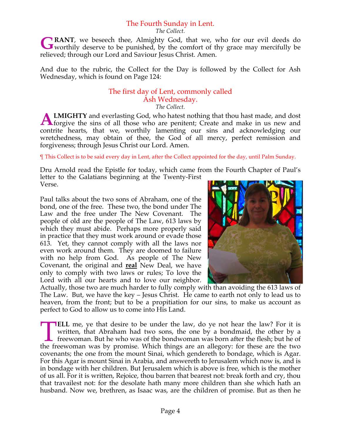# The Fourth Sunday in Lent.

*The Collect.*

**RANT**, we beseech thee, Almighty God, that we, who for our evil deeds do GRANT, we beseech thee, Almighty God, that we, who for our evil deeds do worthily deserve to be punished, by the comfort of thy grace may mercifully be relieved; through our Lord and Saviour Jesus Christ. Amen.

And due to the rubric, the Collect for the Day is followed by the Collect for Ash Wednesday, which is found on Page 124:

#### The first day of Lent, commonly called Ash Wednesday. *The Collect.*

**LMIGHTY** and everlasting God, who hatest nothing that thou hast made, and dost **ALMIGHTY** and everlasting God, who hatest nothing that thou hast made, and dost forgive the sins of all those who are penitent; Create and make in us new and contrite hearts, that we, worthily lamenting our sins and acknowledging our wretchedness, may obtain of thee, the God of all mercy, perfect remission and forgiveness; through Jesus Christ our Lord. Amen.

¶ This Collect is to be said every day in Lent, after the Collect appointed for the day, until Palm Sunday.

Dru Arnold read the Epistle for today, which came from the Fourth Chapter of Paul's letter to the Galatians beginning at the Twenty-First Verse.

Paul talks about the two sons of Abraham, one of the bond, one of the free. These two, the bond under The Law and the free under The New Covenant. The people of old are the people of The Law, 613 laws by which they must abide. Perhaps more properly said in practice that they must work around or evade those 613. Yet, they cannot comply with all the laws nor even work around them. They are doomed to failure with no help from God. As people of The New Covenant, the original and **real** New Deal, we have only to comply with two laws or rules; To love the Lord with all our hearts and to love our neighbor.



Actually, those two are much harder to fully comply with than avoiding the 613 laws of The Law. But, we have the key – Jesus Christ. He came to earth not only to lead us to heaven, from the front; but to be a propitiation for our sins, to make us account as perfect to God to allow us to come into His Land.

**ELL** me, ye that desire to be under the law, do ye not hear the law? For it is written, that Abraham had two sons, the one by a bondmaid, the other by a freewoman. But he who was of the bondwoman was born after the flesh; but he of **ELL** me, ye that desire to be under the law, do ye not hear the law? For it is written, that Abraham had two sons, the one by a bondmaid, the other by a freewoman. But he who was of the bondwoman was born after the flesh; covenants; the one from the mount Sinai, which gendereth to bondage, which is Agar. For this Agar is mount Sinai in Arabia, and answereth to Jerusalem which now is, and is in bondage with her children. But Jerusalem which is above is free, which is the mother of us all. For it is written, Rejoice, thou barren that bearest not: break forth and cry, thou that travailest not: for the desolate hath many more children than she which hath an husband. Now we, brethren, as Isaac was, are the children of promise. But as then he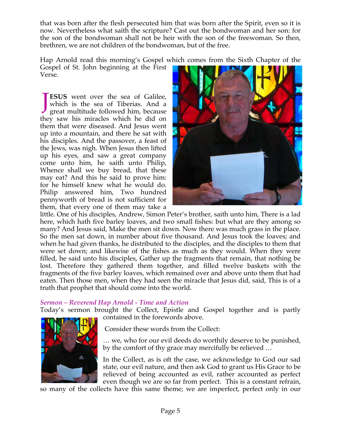that was born after the flesh persecuted him that was born after the Spirit, even so it is now. Nevertheless what saith the scripture? Cast out the bondwoman and her son: for the son of the bondwoman shall not be heir with the son of the freewoman. So then, brethren, we are not children of the bondwoman, but of the free.

Hap Arnold read this morning's Gospel which comes from the Sixth Chapter of the

Gospel of St. John beginning at the First Verse.

**ESUS** went over the sea of Galilee, which is the sea of Tiberias. And a great multitude followed him, because they saw his miracles which he did on them that were diseased. And Jesus went up into a mountain, and there he sat with his disciples. And the passover, a feast of the Jews, was nigh. When Jesus then lifted up his eyes, and saw a great company come unto him, he saith unto Philip, Whence shall we buy bread, that these may eat? And this he said to prove him: for he himself knew what he would do. Philip answered him, Two hundred pennyworth of bread is not sufficient for them, that every one of them may take a J



little. One of his disciples, Andrew, Simon Peter's brother, saith unto him, There is a lad here, which hath five barley loaves, and two small fishes: but what are they among so many? And Jesus said, Make the men sit down. Now there was much grass in the place. So the men sat down, in number about five thousand. And Jesus took the loaves; and when he had given thanks, he distributed to the disciples, and the disciples to them that were set down; and likewise of the fishes as much as they would. When they were filled, he said unto his disciples, Gather up the fragments that remain, that nothing be lost. Therefore they gathered them together, and filled twelve baskets with the fragments of the five barley loaves, which remained over and above unto them that had eaten. Then those men, when they had seen the miracle that Jesus did, said, This is of a truth that prophet that should come into the world.

# *Sermon – Reverend Hap Arnold - Time and Action*

Today's sermon brought the Collect, Epistle and Gospel together and is partly contained in the forewords above.



Consider these words from the Collect:

… we, who for our evil deeds do worthily deserve to be punished, by the comfort of thy grace may mercifully be relieved …

In the Collect, as is oft the case, we acknowledge to God our sad state, our evil nature, and then ask God to grant us His Grace to be relieved of being accounted as evil, rather accounted as perfect even though we are so far from perfect. This is a constant refrain,

so many of the collects have this same theme; we are imperfect, perfect only in our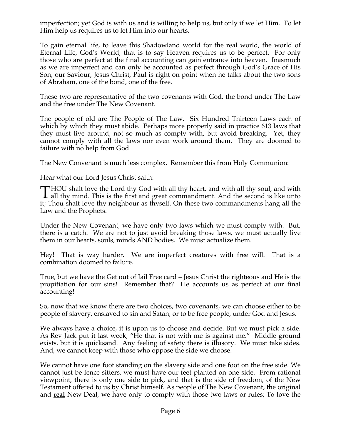imperfection; yet God is with us and is willing to help us, but only if we let Him. To let Him help us requires us to let Him into our hearts.

To gain eternal life, to leave this Shadowland world for the real world, the world of Eternal Life, God's World, that is to say Heaven requires us to be perfect. For only those who are perfect at the final accounting can gain entrance into heaven. Inasmuch as we are imperfect and can only be accounted as perfect through God's Grace of His Son, our Saviour, Jesus Christ, Paul is right on point when he talks about the two sons of Abraham, one of the bond, one of the free.

These two are representative of the two covenants with God, the bond under The Law and the free under The New Covenant.

The people of old are The People of The Law. Six Hundred Thirteen Laws each of which by which they must abide. Perhaps more properly said in practice 613 laws that they must live around; not so much as comply with, but avoid breaking. Yet, they cannot comply with all the laws nor even work around them. They are doomed to failure with no help from God.

The New Convenant is much less complex. Remember this from Holy Communion:

Hear what our Lord Jesus Christ saith:

HOU shalt love the Lord thy God with all thy heart, and with all thy soul, and with THOU shalt love the Lord thy God with all thy heart, and with all thy soul, and with all thy mind. This is the first and great commandment. And the second is like unto  $\mathbb{R}^3$ . it; Thou shalt love thy neighbour as thyself. On these two commandments hang all the Law and the Prophets.

Under the New Covenant, we have only two laws which we must comply with. But, there is a catch. We are not to just avoid breaking those laws, we must actually live them in our hearts, souls, minds AND bodies. We must actualize them.

Hey! That is way harder. We are imperfect creatures with free will. That is a combination doomed to failure.

True, but we have the Get out of Jail Free card – Jesus Christ the righteous and He is the propitiation for our sins! Remember that? He accounts us as perfect at our final accounting!

So, now that we know there are two choices, two covenants, we can choose either to be people of slavery, enslaved to sin and Satan, or to be free people, under God and Jesus.

We always have a choice, it is upon us to choose and decide. But we must pick a side. As Rev Jack put it last week, "He that is not with me is against me." Middle ground exists, but it is quicksand. Any feeling of safety there is illusory. We must take sides. And, we cannot keep with those who oppose the side we choose.

We cannot have one foot standing on the slavery side and one foot on the free side. We cannot just be fence sitters, we must have our feet planted on one side. From rational viewpoint, there is only one side to pick, and that is the side of freedom, of the New Testament offered to us by Christ himself. As people of The New Covenant, the original and **real** New Deal, we have only to comply with those two laws or rules; To love the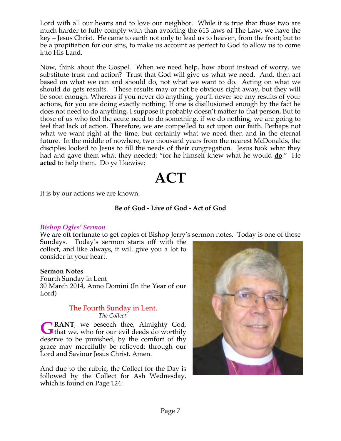Lord with all our hearts and to love our neighbor. While it is true that those two are much harder to fully comply with than avoiding the 613 laws of The Law, we have the key – Jesus Christ. He came to earth not only to lead us to heaven, from the front; but to be a propitiation for our sins, to make us account as perfect to God to allow us to come into His Land.

Now, think about the Gospel. When we need help, how about instead of worry, we substitute trust and action? Trust that God will give us what we need. And, then act based on what we can and should do, not what we want to do. Acting on what we should do gets results. These results may or not be obvious right away, but they will be soon enough. Whereas if you never do anything, you'll never see any results of your actions, for you are doing exactly nothing. If one is disillusioned enough by the fact he does not need to do anything, I suppose it probably doesn't matter to that person. But to those of us who feel the acute need to do something, if we do nothing, we are going to feel that lack of action. Therefore, we are compelled to act upon our faith. Perhaps not what we want right at the time, but certainly what we need then and in the eternal future. In the middle of nowhere, two thousand years from the nearest McDonalds, the disciples looked to Jesus to fill the needs of their congregation. Jesus took what they had and gave them what they needed; "for he himself knew what he would **do**." He **acted** to help them. Do ye likewise:

# **ACT**

It is by our actions we are known.

# **Be of God - Live of God - Act of God**

#### *Bishop Ogles' Sermon*

We are oft fortunate to get copies of Bishop Jerry's sermon notes. Today is one of those

Sundays. Today's sermon starts off with the collect, and like always, it will give you a lot to consider in your heart.

#### **Sermon Notes**

Fourth Sunday in Lent 30 March 2014, Anno Domini (In the Year of our Lord)

# The Fourth Sunday in Lent. *The Collect.*

**RANT**, we beseech thee, Almighty God, **GRANT**, we beseech thee, Almighty God, that we, who for our evil deeds do worthily deserve to be punished, by the comfort of thy grace may mercifully be relieved; through our Lord and Saviour Jesus Christ. Amen.

And due to the rubric, the Collect for the Day is followed by the Collect for Ash Wednesday, which is found on Page 124:

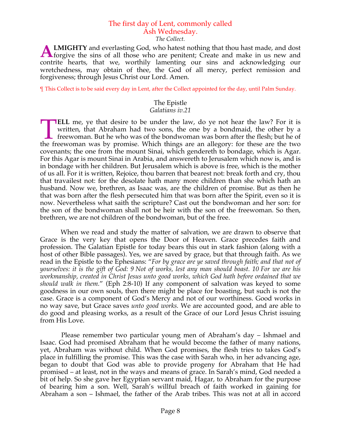# The first day of Lent, commonly called Ash Wednesday.

*The Collect.*

**LMIGHTY** and everlasting God, who hatest nothing that thou hast made, and dost **ALMIGHTY** and everlasting God, who hatest nothing that thou hast made, and dost forgive the sins of all those who are penitent; Create and make in us new and contrite hearts, that we, worthily lamenting our sins and acknowledging our wretchedness, may obtain of thee, the God of all mercy, perfect remission and forgiveness; through Jesus Christ our Lord. Amen.

¶ This Collect is to be said every day in Lent, after the Collect appointed for the day, until Palm Sunday.

#### The Epistle *Galatians iv.21*

**IELL** me, ye that desire to be under the law, do ye not hear the law? For it is written, that Abraham had two sons, the one by a bondmaid, the other by a freewoman. But he who was of the bondwoman was born after the flesh; but he of **ELL** me, ye that desire to be under the law, do ye not hear the law? For it is written, that Abraham had two sons, the one by a bondmaid, the other by a freewoman. But he who was of the bondwoman was born after the flesh; covenants; the one from the mount Sinai, which gendereth to bondage, which is Agar. For this Agar is mount Sinai in Arabia, and answereth to Jerusalem which now is, and is in bondage with her children. But Jerusalem which is above is free, which is the mother of us all. For it is written, Rejoice, thou barren that bearest not: break forth and cry, thou that travailest not: for the desolate hath many more children than she which hath an husband. Now we, brethren, as Isaac was, are the children of promise. But as then he that was born after the flesh persecuted him that was born after the Spirit, even so it is now. Nevertheless what saith the scripture? Cast out the bondwoman and her son: for the son of the bondwoman shall not be heir with the son of the freewoman. So then, brethren, we are not children of the bondwoman, but of the free.

 When we read and study the matter of salvation, we are drawn to observe that Grace is the very key that opens the Door of Heaven. Grace precedes faith and profession. The Galatian Epistle for today bears this out in stark fashion (along with a host of other Bible passages). Yes, we are saved by grace, but that through faith. As we read in the Epistle to the Ephesians: "*For by grace are ye saved through faith; and that not of yourselves: it is the gift of God: 9 Not of works, lest any man should boast. 10 For we are his workmanship, created in Christ Jesus unto good works, which God hath before ordained that we should walk in them.*" (Eph 2:8-10) If any component of salvation was keyed to some goodness in our own souls, then there might be place for boasting, but such is not the case. Grace is a component of God's Mercy and not of our worthiness. Good works in no way save, but Grace saves *unto good works.* We are accounted good, and are able to do good and pleasing works, as a result of the Grace of our Lord Jesus Christ issuing from His Love.

 Please remember two particular young men of Abraham's day – Ishmael and Isaac. God had promised Abraham that he would become the father of many nations, yet, Abraham was without child. When God promises, the flesh tries to takes God's place in fulfilling the promise. This was the case with Sarah who, in her advancing age, began to doubt that God was able to provide progeny for Abraham that He had promised – at least, not in the ways and means of grace. In Sarah's mind, God needed a bit of help. So she gave her Egyptian servant maid, Hagar, to Abraham for the purpose of bearing him a son. Well, Sarah's willful breach of faith worked in gaining for Abraham a son – Ishmael, the father of the Arab tribes. This was not at all in accord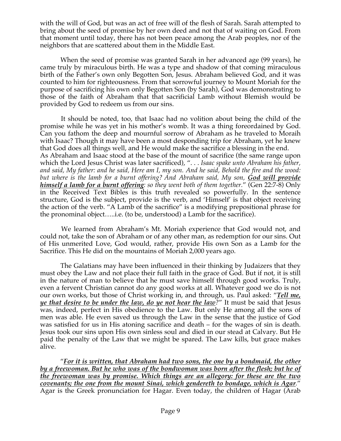with the will of God, but was an act of free will of the flesh of Sarah. Sarah attempted to bring about the seed of promise by her own deed and not that of waiting on God. From that moment until today, there has not been peace among the Arab peoples, nor of the neighbors that are scattered about them in the Middle East.

 When the seed of promise was granted Sarah in her advanced age (99 years), he came truly by miraculous birth. He was a type and shadow of that coming miraculous birth of the Father's own only Begotten Son, Jesus. Abraham believed God, and it was counted to him for righteousness. From that sorrowful journey to Mount Moriah for the purpose of sacrificing his own only Begotten Son (by Sarah), God was demonstrating to those of the faith of Abraham that that sacrificial Lamb without Blemish would be provided by God to redeem us from our sins.

 It should be noted, too, that Isaac had no volition about being the child of the promise while he was yet in his mother's womb. It was a thing foreordained by God. Can you fathom the deep and mournful sorrow of Abraham as he traveled to Moraih with Isaac? Though it may have been a most desponding trip for Abraham, yet he knew that God does all things well, and He would make the sacrifice a blessing in the end. As Abraham and Isaac stood at the base of the mount of sacrifice (the same range upon which the Lord Jesus Christ was later sacrificed), ". . . *Isaac spake unto Abraham his father, and said, My father: and he said, Here am I, my son. And he said, Behold the fire and the wood: but where is the lamb for a burnt offering? And Abraham said, My son, God will provide himself a lamb for a burnt offering: so they went both of them together.*" (Gen 22:7-8) Only in the Received Text Bibles is this truth revealed so powerfully. In the sentence structure, God is the subject, provide is the verb, and 'Himself' is that object receiving the action of the verb. "A Lamb of the sacrifice" is a modifying prepositional phrase for the pronominal object…..i.e. (to be, understood) a Lamb for the sacrifice).

 We learned from Abraham's Mt. Moriah experience that God would not, and could not, take the son of Abraham or of any other man, as redemption for our sins. Out of His unmerited Love, God would, rather, provide His own Son as a Lamb for the Sacrifice. This He did on the mountains of Moriah 2,000 years ago.

 The Galatians may have been influenced in their thinking by Judaizers that they must obey the Law and not place their full faith in the grace of God. But if not, it is still in the nature of man to believe that he must save himself through good works. Truly, even a fervent Christian cannot do any good works at all. Whatever good we do is not our own works, but those of Christ working in, and through, us. Paul asked: "*Tell me, ye that desire to be under the law, do ye not hear the law?*" It must be said that Jesus was, indeed, perfect in His obedience to the Law. But only He among all the sons of men was able. He even saved us through the Law in the sense that the justice of God was satisfied for us in His atoning sacrifice and death – for the wages of sin is death. Jesus took our sins upon His own sinless soul and died in our stead at Calvary. But He paid the penalty of the Law that we might be spared. The Law kills, but grace makes alive.

 "*For it is written, that Abraham had two sons, the one by a bondmaid, the other by a freewoman. But he who was of the bondwoman was born after the flesh; but he of the freewoman was by promise. Which things are an allegory: for these are the two covenants; the one from the mount Sinai, which gendereth to bondage, which is Agar.*" Agar is the Greek pronunciation for Hagar. Even today, the children of Hagar (Arab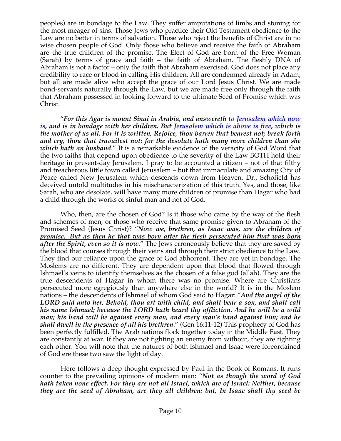peoples) are in bondage to the Law. They suffer amputations of limbs and stoning for the most meager of sins. Those Jews who practice their Old Testament obedience to the Law are no better in terms of salvation. Those who reject the benefits of Christ are in no wise chosen people of God. Only those who believe and receive the faith of Abraham are the true children of the promise. The Elect of God are born of the Free Woman (Sarah) by terms of grace and faith – the faith of Abraham. The fleshly DNA of Abraham is not a factor – only the faith that Abraham exercised. God does not place any credibility to race or blood in calling His children. All are condemned already in Adam; but all are made alive who accept the grace of our Lord Jesus Christ. We are made bond-servants naturally through the Law, but we are made free only through the faith that Abraham possessed in looking forward to the ultimate Seed of Promise which was Christ.

 "*For this Agar is mount Sinai in Arabia, and answereth to Jerusalem which now is, and is in bondage with her children. But Jerusalem which is above is free, which is the mother of us all. For it is written, Rejoice, thou barren that bearest not; break forth and cry, thou that travailest not: for the desolate hath many more children than she which hath an husband.*" It is a remarkable evidence of the veracity of God Word that the two faiths that depend upon obedience to the severity of the Law BOTH hold their heritage in present-day Jerusalem. I pray to be accounted a citizen – not of that filthy and treacherous little town called Jerusalem – but that immaculate and amazing City of Peace called New Jerusalem which descends down from Heaven. Dr., Schofield has deceived untold multitudes in his mischaracterization of this truth. Yes, and those, like Sarah, who are desolate, will have many more children of promise than Hagar who had a child through the works of sinful man and not of God.

 Who, then, are the chosen of God? Is it those who came by the way of the flesh and schemes of men, or those who receive that same promise given to Abraham of the Promised Seed (Jesus Christ)? "*Now we, brethren, as Isaac was, are the children of promise. But as then he that was born after the flesh persecuted him that was born after the Spirit, even so it is now.*" The Jews erroneously believe that they are saved by the blood that courses through their veins and through their strict obedience to the Law. They find our reliance upon the grace of God abhorrent. They are yet in bondage. The Moslems are no different. They are dependent upon that blood that flowed through Ishmael's veins to identify themselves as the chosen of a false god (allah). They are the true descendents of Hagar in whom there was no promise. Where are Christians persecuted more egregiously than anywhere else in the world? It is in the Moslem nations – the descendents of Ishmael of whom God said to Hagar: "*And the angel of the LORD said unto her, Behold, thou art with child, and shalt bear a son, and shalt call his name Ishmael; because the LORD hath heard thy affliction. And he will be a wild man; his hand will be against every man, and every man's hand against him; and he shall dwell in the presence of all his brethren*." (Gen 16:11-12) This prophecy of God has been perfectly fulfilled. The Arab nations flock together today in the Middle East. They are constantly at war. If they are not fighting an enemy from without, they are fighting each other. You will note that the natures of both Ishmael and Isaac were foreordained of God ere these two saw the light of day.

 Here follows a deep thought expressed by Paul in the Book of Romans. It runs counter to the prevailing opinions of modern man: "*Not as though the word of God hath taken none effect. For they are not all Israel, which are of Israel: Neither, because they are the seed of Abraham, are they all children: but, In Isaac shall thy seed be*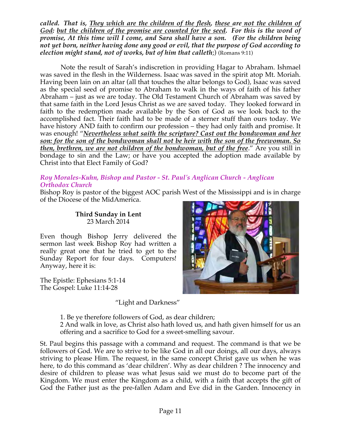*called. That is, They which are the children of the flesh, these are not the children of God: but the children of the promise are counted for the seed. For this is the word of promise, At this time will I come, and Sara shall have a son. (For the children being not yet born, neither having done any good or evil, that the purpose of God according to election might stand, not of works, but of him that calleth*;) (Romans 9:11)

 Note the result of Sarah's indiscretion in providing Hagar to Abraham. Ishmael was saved in the flesh in the Wilderness. Isaac was saved in the spirit atop Mt. Moriah. Having been lain on an altar (all that touches the altar belongs to God), Isaac was saved as the special seed of promise to Abraham to walk in the ways of faith of his father Abraham – just as we are today. The Old Testament Church of Abraham was saved by that same faith in the Lord Jesus Christ as we are saved today. They looked forward in faith to the redemption made available by the Son of God as we look back to the accomplished fact. Their faith had to be made of a sterner stuff than ours today. We have history AND faith to confirm our profession – they had only faith and promise. It was enough! "*Nevertheless what saith the scripture? Cast out the bondwoman and her son: for the son of the bondwoman shall not be heir with the son of the freewoman. So then, brethren, we are not children of the bondwoman, but of the free*." Are you still in bondage to sin and the Law; or have you accepted the adoption made available by Christ into that Elect Family of God?

### *Roy Morales-Kuhn, Bishop and Pastor - St. Paul's Anglican Church - Anglican Orthodox Church*

Bishop Roy is pastor of the biggest AOC parish West of the Mississippi and is in charge of the Diocese of the MidAmerica.

#### **Third Sunday in Lent** 23 March 2014

Even though Bishop Jerry delivered the sermon last week Bishop Roy had written a really great one that he tried to get to the Sunday Report for four days. Computers! Anyway, here it is:

The Epistle: Ephesians 5:1-14 The Gospel: Luke 11:14-28



"Light and Darkness"

1. Be ye therefore followers of God, as dear children;

2 And walk in love, as Christ also hath loved us, and hath given himself for us an offering and a sacrifice to God for a sweet-smelling savour.

St. Paul begins this passage with a command and request. The command is that we be followers of God. We are to strive to be like God in all our doings, all our days, always striving to please Him. The request, in the same concept Christ gave us when he was here, to do this command as 'dear children'. Why as dear children ? The innocency and desire of children to please was what Jesus said we must do to become part of the Kingdom. We must enter the Kingdom as a child, with a faith that accepts the gift of God the Father just as the pre-fallen Adam and Eve did in the Garden. Innocency in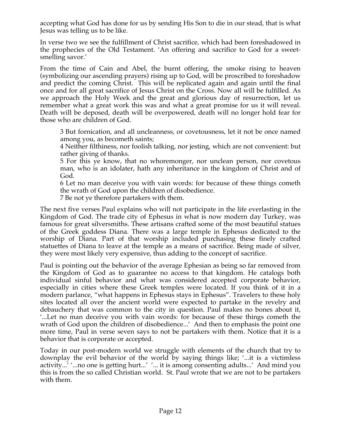accepting what God has done for us by sending His Son to die in our stead, that is what Jesus was telling us to be like.

In verse two we see the fulfillment of Christ sacrifice, which had been foreshadowed in the prophecies of the Old Testament. 'An offering and sacrifice to God for a sweetsmelling savor.'

From the time of Cain and Abel, the burnt offering, the smoke rising to heaven (symbolizing our ascending prayers) rising up to God, will be proscribed to foreshadow and predict the coming Christ. This will be replicated again and again until the final once and for all great sacrifice of Jesus Christ on the Cross. Now all will be fulfilled. As we approach the Holy Week and the great and glorious day of resurrection, let us remember what a great work this was and what a great promise for us it will reveal. Death will be deposed, death will be overpowered, death will no longer hold fear for those who are children of God.

3 But fornication, and all uncleanness, or covetousness, let it not be once named among you, as becometh saints;

4 Neither filthiness, nor foolish talking, nor jesting, which are not convenient: but rather giving of thanks.

5 For this ye know, that no whoremonger, nor unclean person, nor covetous man, who is an idolater, hath any inheritance in the kingdom of Christ and of God.

6 Let no man deceive you with vain words: for because of these things cometh the wrath of God upon the children of disobedience.

7 Be not ye therefore partakers with them.

The next five verses Paul explains who will not participate in the life everlasting in the Kingdom of God. The trade city of Ephesus in what is now modern day Turkey, was famous for great silversmiths. These artisans crafted some of the most beautiful statues of the Greek goddess Diana. There was a large temple in Ephesus dedicated to the worship of Diana. Part of that worship included purchasing these finely crafted statuettes of Diana to leave at the temple as a means of sacrifice. Being made of silver, they were most likely very expensive, thus adding to the concept of sacrifice.

Paul is pointing out the behavior of the average Ephesian as being so far removed from the Kingdom of God as to guarantee no access to that kingdom. He catalogs both individual sinful behavior and what was considered accepted corporate behavior, especially in cities where these Greek temples were located. If you think of it in a modern parlance, "what happens in Ephesus stays in Ephesus". Travelers to these holy sites located all over the ancient world were expected to partake in the revelry and debauchery that was common to the city in question. Paul makes no bones about it, '...Let no man deceive you with vain words: for because of these things cometh the wrath of God upon the children of disobedience...' And then to emphasis the point one more time, Paul in verse seven says to not be partakers with them. Notice that it is a behavior that is corporate or accepted.

Today in our post-modern world we struggle with elements of the church that try to downplay the evil behavior of the world by saying things like; '...it is a victimless activity...' '...no one is getting hurt...' '... it is among consenting adults...' And mind you this is from the so called Christian world. St. Paul wrote that we are not to be partakers with them.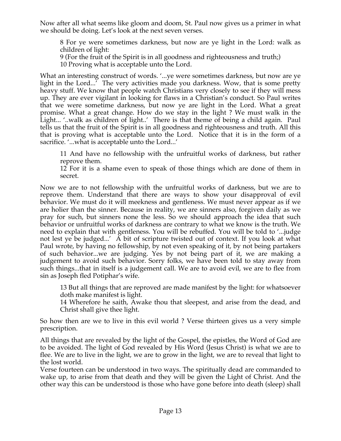Now after all what seems like gloom and doom, St. Paul now gives us a primer in what we should be doing. Let's look at the next seven verses.

8 For ye were sometimes darkness, but now are ye light in the Lord: walk as children of light:

9 (For the fruit of the Spirit is in all goodness and righteousness and truth;)

10 Proving what is acceptable unto the Lord.

What an interesting construct of words. '...ye were sometimes darkness, but now are ye light in the Lord...' The very activities made you darkness. Wow, that is some pretty heavy stuff. We know that people watch Christians very closely to see if they will mess up. They are ever vigilant in looking for flaws in a Christian's conduct. So Paul writes that we were sometime darkness, but now ye are light in the Lord. What a great promise. What a great change. How do we stay in the light ? We must walk in the Light... '..walk as children of light..' There is that theme of being a child again. Paul tells us that the fruit of the Spirit is in all goodness and righteousness and truth. All this that is proving what is acceptable unto the Lord. Notice that it is in the form of a sacrifice. '...what is acceptable unto the Lord...'

11 And have no fellowship with the unfruitful works of darkness, but rather reprove them.

12 For it is a shame even to speak of those things which are done of them in secret.

Now we are to not fellowship with the unfruitful works of darkness, but we are to reprove them. Understand that there are ways to show your disapproval of evil behavior. We must do it will meekness and gentleness. We must never appear as if we are holier than the sinner. Because in reality, we are sinners also, forgiven daily as we pray for such, but sinners none the less. So we should approach the idea that such behavior or unfruitful works of darkness are contrary to what we know is the truth. We need to explain that with gentleness. You will be rebuffed. You will be told to '...judge not lest ye be judged...' A bit of scripture twisted out of context. If you look at what Paul wrote, by having no fellowship, by not even speaking of it, by not being partakers of such behavior...we are judging. Yes by not being part of it, we are making a judgement to avoid such behavior. Sorry folks, we have been told to stay away from such things...that in itself is a judgement call. We are to avoid evil, we are to flee from sin as Joseph fled Potiphar's wife.

13 But all things that are reproved are made manifest by the light: for whatsoever doth make manifest is light.

14 Wherefore he saith, Awake thou that sleepest, and arise from the dead, and Christ shall give thee light.

So how then are we to live in this evil world ? Verse thirteen gives us a very simple prescription.

All things that are revealed by the light of the Gospel, the epistles, the Word of God are to be avoided. The light of God revealed by His Word (Jesus Christ) is what we are to flee. We are to live in the light, we are to grow in the light, we are to reveal that light to the lost world.

Verse fourteen can be understood in two ways. The spiritually dead are commanded to wake up, to arise from that death and they will be given the Light of Christ. And the other way this can be understood is those who have gone before into death (sleep) shall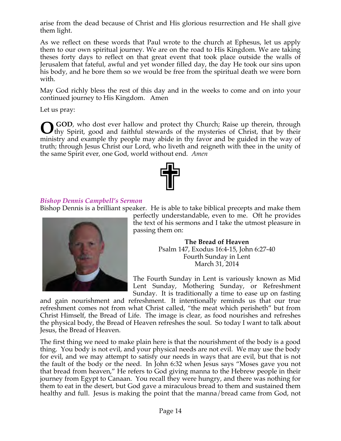arise from the dead because of Christ and His glorious resurrection and He shall give them light.

As we reflect on these words that Paul wrote to the church at Ephesus, let us apply them to our own spiritual journey. We are on the road to His Kingdom. We are taking theses forty days to reflect on that great event that took place outside the walls of Jerusalem that fateful, awful and yet wonder filled day, the day He took our sins upon his body, and he bore them so we would be free from the spiritual death we were born with.

May God richly bless the rest of this day and in the weeks to come and on into your continued journey to His Kingdom. Amen

Let us pray:

 **GOD**, who dost ever hallow and protect thy Church; Raise up therein, through thy Spirit, good and faithful stewards of the mysteries of Christ, that by their ministry and example thy people may abide in thy favor and be guided in the way of truth; through Jesus Christ our Lord, who liveth and reigneth with thee in the unity of the same Spirit ever, one God, world without end*. Amen* **O**



# *Bishop Dennis Campbell's Sermon*

Bishop Dennis is a brilliant speaker. He is able to take biblical precepts and make them



perfectly understandable, even to me. Oft he provides the text of his sermons and I take the utmost pleasure in passing them on:

> **The Bread of Heaven** Psalm 147, Exodus 16:4-15, John 6:27-40 Fourth Sunday in Lent March 31, 2014

The Fourth Sunday in Lent is variously known as Mid Lent Sunday, Mothering Sunday, or Refreshment Sunday. It is traditionally a time to ease up on fasting

and gain nourishment and refreshment. It intentionally reminds us that our true refreshment comes not from what Christ called, "the meat which perisheth" but from Christ Himself, the Bread of Life. The image is clear, as food nourishes and refreshes the physical body, the Bread of Heaven refreshes the soul. So today I want to talk about Jesus, the Bread of Heaven.

The first thing we need to make plain here is that the nourishment of the body is a good thing. You body is not evil, and your physical needs are not evil. We may use the body for evil, and we may attempt to satisfy our needs in ways that are evil, but that is not the fault of the body or the need. In John 6:32 when Jesus says "Moses gave you not that bread from heaven," He refers to God giving manna to the Hebrew people in their journey from Egypt to Canaan. You recall they were hungry, and there was nothing for them to eat in the desert, but God gave a miraculous bread to them and sustained them healthy and full. Jesus is making the point that the manna/bread came from God, not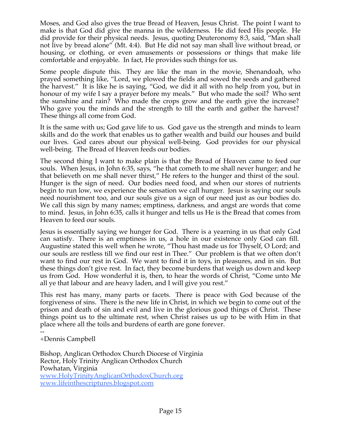Moses, and God also gives the true Bread of Heaven, Jesus Christ. The point I want to make is that God did give the manna in the wilderness. He did feed His people. He did provide for their physical needs. Jesus, quoting Deuteronomy 8:3, said, "Man shall not live by bread alone" (Mt. 4:4). But He did not say man shall live without bread, or housing, or clothing, or even amusements or possessions or things that make life comfortable and enjoyable. In fact, He provides such things for us.

Some people dispute this. They are like the man in the movie, Shenandoah, who prayed something like, "Lord, we plowed the fields and sowed the seeds and gathered the harvest." It is like he is saying, "God, we did it all with no help from you, but in honour of my wife I say a prayer before my meals." But who made the soil? Who sent the sunshine and rain? Who made the crops grow and the earth give the increase? Who gave you the minds and the strength to till the earth and gather the harvest? These things all come from God.

It is the same with us; God gave life to us. God gave us the strength and minds to learn skills and do the work that enables us to gather wealth and build our houses and build our lives. God cares about our physical well-being. God provides for our physical well-being. The Bread of Heaven feeds our bodies.

The second thing I want to make plain is that the Bread of Heaven came to feed our souls. When Jesus, in John 6:35, says, "he that cometh to me shall never hunger; and he that believeth on me shall never thirst," He refers to the hunger and thirst of the soul. Hunger is the sign of need. Our bodies need food, and when our stores of nutrients begin to run low, we experience the sensation we call hunger. Jesus is saying our souls need nourishment too, and our souls give us a sign of our need just as our bodies do. We call this sign by many names; emptiness, darkness, and angst are words that come to mind. Jesus, in John 6:35, calls it hunger and tells us He is the Bread that comes from Heaven to feed our souls.

Jesus is essentially saying we hunger for God. There is a yearning in us that only God can satisfy. There is an emptiness in us, a hole in our existence only God can fill. Augustine stated this well when he wrote, "Thou hast made us for Thyself, O Lord; and our souls are restless till we find our rest in Thee." Our problem is that we often don't want to find our rest in God. We want to find it in toys, in pleasures, and in sin. But these things don't give rest. In fact, they become burdens that weigh us down and keep us from God. How wonderful it is, then, to hear the words of Christ, "Come unto Me all ye that labour and are heavy laden, and I will give you rest."

This rest has many, many parts or facets. There is peace with God because of the forgiveness of sins. There is the new life in Christ, in which we begin to come out of the prison and death of sin and evil and live in the glorious good things of Christ. These things point us to the ultimate rest, when Christ raises us up to be with Him in that place where all the toils and burdens of earth are gone forever.

-- +Dennis Campbell

Bishop, Anglican Orthodox Church Diocese of Virginia Rector, Holy Trinity Anglican Orthodox Church Powhatan, Virginia www.HolyTrinityAnglicanOrthodoxChurch.org www.lifeinthescriptures.blogspot.com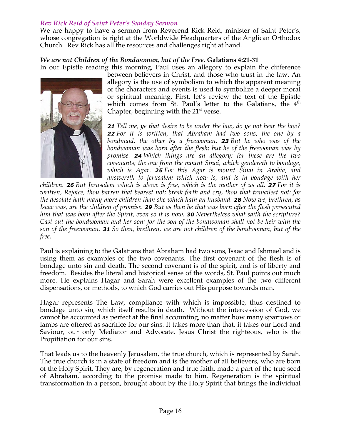# *Rev Rick Reid of Saint Peter's Sunday Sermon*

We are happy to have a sermon from Reverend Rick Reid, minister of Saint Peter's, whose congregation is right at the Worldwide Headquarters of the Anglican Orthodox Church. Rev Rick has all the resources and challenges right at hand.

### *We are not Children of the Bondwoman, but of the Free.* **Galatians 4:21-31**



In our Epistle reading this morning, Paul uses an allegory to explain the difference between believers in Christ, and those who trust in the law. An allegory is the use of symbolism to which the apparent meaning of the characters and events is used to symbolize a deeper moral or spiritual meaning. First, let's review the text of the Epistle which comes from St. Paul's letter to the Galatians, the  $4<sup>th</sup>$ Chapter, beginning with the  $21<sup>st</sup>$  verse.

> *21 Tell me, ye that desire to be under the law, do ye not hear the law? 22 For it is written, that Abraham had two sons, the one by a bondmaid, the other by a freewoman. 23 But he who was of the bondwoman was born after the flesh; but he of the freewoman was by promise. 24 Which things are an allegory: for these are the two covenants; the one from the mount Sinai, which gendereth to bondage, which is Agar. 25 For this Agar is mount Sinai in Arabia, and answereth to Jerusalem which now is, and is in bondage with her*

*children. 26 But Jerusalem which is above is free, which is the mother of us all. 27 For it is written, Rejoice, thou barren that bearest not; break forth and cry, thou that travailest not: for the desolate hath many more children than she which hath an husband. 28 Now we, brethren, as Isaac was, are the children of promise. 29 But as then he that was born after the flesh persecuted him that was born after the Spirit, even so it is now. 30 Nevertheless what saith the scripture? Cast out the bondwoman and her son: for the son of the bondwoman shall not be heir with the son of the freewoman. 31 So then, brethren, we are not children of the bondwoman, but of the free.*

Paul is explaining to the Galatians that Abraham had two sons, Isaac and Ishmael and is using them as examples of the two covenants. The first covenant of the flesh is of bondage unto sin and death. The second covenant is of the spirit, and is of liberty and freedom*.* Besides the literal and historical sense of the words, St. Paul points out much more. He explains Hagar and Sarah were excellent examples of the two different dispensations, or methods, to which God carries out His purpose towards man.

Hagar represents The Law, compliance with which is impossible, thus destined to bondage unto sin, which itself results in death. Without the intercession of God, we cannot be accounted as perfect at the final accounting, no matter how many sparrows or lambs are offered as sacrifice for our sins. It takes more than that, it takes our Lord and Saviour, our only Mediator and Advocate, Jesus Christ the righteous, who is the Propitiation for our sins.

That leads us to the heavenly Jerusalem, the true church, which is represented by Sarah. The true church is in a state of freedom and is the mother of all believers, who are born of the Holy Spirit. They are, by regeneration and true faith, made a part of the true seed of Abraham, according to the promise made to him. Regeneration is the spiritual transformation in a person, brought about by the Holy Spirit that brings the individual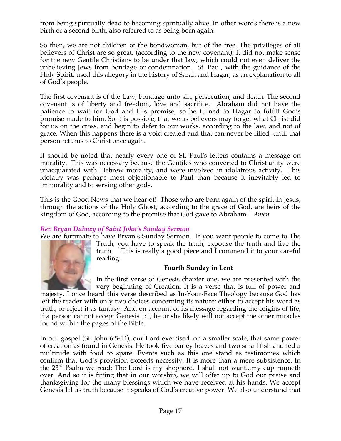from being spiritually dead to becoming spiritually alive. In other words there is a new birth or a second birth, also referred to as being born again.

So then, we are not children of the bondwoman, but of the free. The privileges of all believers of Christ are so great, (according to the new covenant); it did not make sense for the new Gentile Christians to be under that law, which could not even deliver the unbelieving Jews from bondage or condemnation. St. Paul, with the guidance of the Holy Spirit, used this allegory in the history of Sarah and Hagar, as an explanation to all of God's people.

The first covenant is of the Law; bondage unto sin, persecution, and death. The second covenant is of liberty and freedom, love and sacrifice. Abraham did not have the patience to wait for God and His promise, so he turned to Hagar to fulfill God's promise made to him. So it is possible, that we as believers may forget what Christ did for us on the cross, and begin to defer to our works, according to the law, and not of grace. When this happens there is a void created and that can never be filled, until that person returns to Christ once again.

It should be noted that nearly every one of St. Paul's letters contains a message on morality. This was necessary because the Gentiles who converted to Christianity were unacquainted with Hebrew morality, and were involved in idolatrous activity. This idolatry was perhaps most objectionable to Paul than because it inevitably led to immorality and to serving other gods.

This is the Good News that we hear of! Those who are born again of the spirit in Jesus, through the actions of the Holy Ghost, according to the grace of God, are heirs of the kingdom of God, according to the promise that God gave to Abraham. *Amen.*

# *Rev Bryan Dabney of Saint John's Sunday Sermon*

We are fortunate to have Bryan's Sunday Sermon. If you want people to come to The Truth, you have to speak the truth, expouse the truth and live the truth. This is really a good piece and I commend it to your careful reading.

#### **Fourth Sunday in Lent**

In the first verse of Genesis chapter one, we are presented with the very beginning of Creation. It is a verse that is full of power and

majesty. I once heard this verse described as In-Your-Face Theology because God has left the reader with only two choices concerning its nature: either to accept his word as truth, or reject it as fantasy. And on account of its message regarding the origins of life, if a person cannot accept Genesis 1:1, he or she likely will not accept the other miracles found within the pages of the Bible.

In our gospel (St. John 6:5-14), our Lord exercised, on a smaller scale, that same power of creation as found in Genesis. He took five barley loaves and two small fish and fed a multitude with food to spare. Events such as this one stand as testimonies which confirm that God's provision exceeds necessity. It is more than a mere subsistence. In the  $23<sup>rd</sup>$  Psalm we read: The Lord is my shepherd, I shall not want...my cup runneth over. And so it is fitting that in our worship, we will offer up to God our praise and thanksgiving for the many blessings which we have received at his hands. We accept Genesis 1:1 as truth because it speaks of God's creative power. We also understand that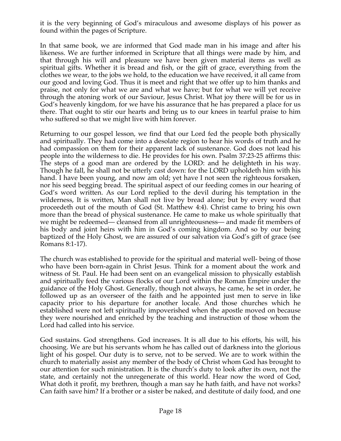it is the very beginning of God's miraculous and awesome displays of his power as found within the pages of Scripture.

In that same book, we are informed that God made man in his image and after his likeness. We are further informed in Scripture that all things were made by him, and that through his will and pleasure we have been given material items as well as spiritual gifts. Whether it is bread and fish, or the gift of grace, everything from the clothes we wear, to the jobs we hold, to the education we have received, it all came from our good and loving God. Thus it is meet and right that we offer up to him thanks and praise, not only for what we are and what we have; but for what we will yet receive through the atoning work of our Saviour, Jesus Christ. What joy there will be for us in God's heavenly kingdom, for we have his assurance that he has prepared a place for us there. That ought to stir our hearts and bring us to our knees in tearful praise to him who suffered so that we might live with him forever.

Returning to our gospel lesson, we find that our Lord fed the people both physically and spiritually. They had come into a desolate region to hear his words of truth and he had compassion on them for their apparent lack of sustenance. God does not lead his people into the wilderness to die. He provides for his own. Psalm 37:23-25 affirms this: The steps of a good man are ordered by the LORD: and he delighteth in his way. Though he fall, he shall not be utterly cast down: for the LORD upholdeth him with his hand. I have been young, and now am old; yet have I not seen the righteous forsaken, nor his seed begging bread. The spiritual aspect of our feeding comes in our hearing of God's word written. As our Lord replied to the devil during his temptation in the wilderness, It is written, Man shall not live by bread alone; but by every word that proceedeth out of the mouth of God (St. Matthew 4:4). Christ came to bring his own more than the bread of physical sustenance. He came to make us whole spiritually that we might be redeemed— cleansed from all unrighteousness— and made fit members of his body and joint heirs with him in God's coming kingdom. And so by our being baptized of the Holy Ghost, we are assured of our salvation via God's gift of grace (see Romans 8:1-17).

The church was established to provide for the spiritual and material well- being of those who have been born-again in Christ Jesus. Think for a moment about the work and witness of St. Paul. He had been sent on an evangelical mission to physically establish and spiritually feed the various flocks of our Lord within the Roman Empire under the guidance of the Holy Ghost. Generally, though not always, he came, he set in order, he followed up as an overseer of the faith and he appointed just men to serve in like capacity prior to his departure for another locale. And those churches which he established were not left spiritually impoverished when the apostle moved on because they were nourished and enriched by the teaching and instruction of those whom the Lord had called into his service.

God sustains. God strengthens. God increases. It is all due to his efforts, his will, his choosing. We are but his servants whom he has called out of darkness into the glorious light of his gospel. Our duty is to serve, not to be served. We are to work within the church to materially assist any member of the body of Christ whom God has brought to our attention for such ministration. It is the church's duty to look after its own, not the state, and certainly not the unregenerate of this world. Hear now the word of God, What doth it profit, my brethren, though a man say he hath faith, and have not works? Can faith save him? If a brother or a sister be naked, and destitute of daily food, and one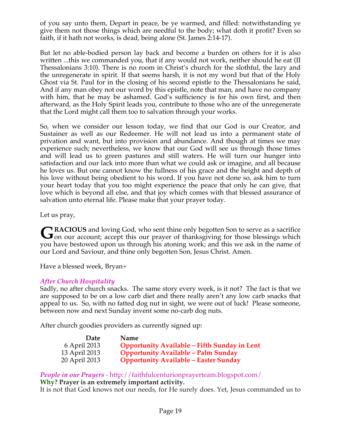of you say unto them, Depart in peace, be ye warmed, and filled: notwithstanding ye give them not those things which are needful to the body; what doth it profit? Even so faith, if it hath not works, is dead, being alone (St. James 2:14-17).

But let no able-bodied person lay back and become a burden on others for it is also written ...this we commanded you, that if any would not work, neither should he eat (II Thessalonians 3:10). There is no room in Christ's church for the slothful, the lazy and the unregenerate in spirit. If that seems harsh, it is not my word but that of the Holy Ghost via St. Paul for in the closing of his second epistle to the Thessalonians he said, And if any man obey not our word by this epistle, note that man, and have no company with him, that he may be ashamed. God's sufficiency is for his own first, and then afterward, as the Holy Spirit leads you, contribute to those who are of the unregenerate that the Lord might call them too to salvation through your works.

So, when we consider our lesson today, we find that our God is our Creator, and Sustainer as well as our Redeemer. He will not lead us into a permanent state of privation and want, but into provision and abundance. And though at times we may experience such; nevertheless, we know that our God will see us through those times and will lead us to green pastures and still waters. He will turn our hunger into satisfaction and our lack into more than what we could ask or imagine, and all because he loves us. But one cannot know the fullness of his grace and the height and depth of his love without being obedient to his word. If you have not done so, ask him to turn your heart today that you too might experience the peace that only he can give, that love which is beyond all else, and that joy which comes with that blessed assurance of salvation unto eternal life. Please make that your prayer today.

Let us pray,

**RACIOUS** and loving God, who sent thine only begotten Son to serve as a sacrifice GRACIOUS and loving God, who sent thine only begotten Son to serve as a sacrifice on our account; accept this our prayer of thanksgiving for those blessings which you have bestowed upon us through his atoning work; and this we ask in the name of our Lord and Saviour, and thine only begotten Son, Jesus Christ. Amen.

Have a blessed week, Bryan+

# *After Church Hospitality*

Sadly, no after church snacks. The same story every week, is it not? The fact is that we are supposed to be on a low carb diet and there really aren't any low carb snacks that appeal to us. So, with no fatted dog nut in sight, we were out of luck! Please someone, between now and next Sunday invent some no-carb dog nuts.

After church goodies providers as currently signed up:

| Date          | <b>Name</b>                                         |
|---------------|-----------------------------------------------------|
| 6 April 2013  | <b>Opportunity Available - Fifth Sunday in Lent</b> |
| 13 April 2013 | <b>Opportunity Available - Palm Sunday</b>          |
| 20 April 2013 | <b>Opportunity Available - Easter Sunday</b>        |

*People in our Prayers* - http://faithfulcenturionprayerteam.blogspot.com/ **Why? Prayer is an extremely important activity.**

It is not that God knows not our needs, for He surely does. Yet, Jesus commanded us to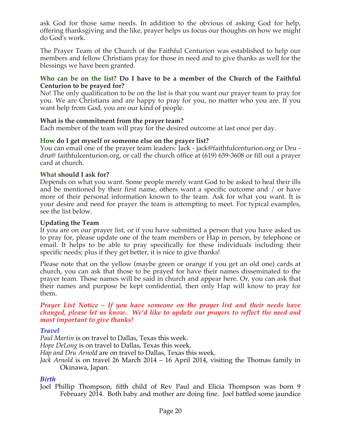ask God for those same needs. In addition to the obvious of asking God for help, offering thanksgiving and the like, prayer helps us focus our thoughts on how we might do God's work.

The Prayer Team of the Church of the Faithful Centurion was established to help our members and fellow Christians pray for those in need and to give thanks as well for the blessings we have been granted.

### **Who can be on the list? Do I have to be a member of the Church of the Faithful Centurion to be prayed for?**

No! The only qualification to be on the list is that you want our prayer team to pray for you. We are Christians and are happy to pray for you, no matter who you are. If you want help from God, you are our kind of people.

# **What is the commitment from the prayer team?**

Each member of the team will pray for the desired outcome at last once per day.

# **How do I get myself or someone else on the prayer list?**

You can email one of the prayer team leaders: Jack - jack@faithfulcenturion.org or Dru dru@ faithfulcenturion.org, or call the church office at (619) 659-3608 or fill out a prayer card at church.

# **What should I ask for?**

Depends on what you want. Some people merely want God to be asked to heal their ills and be mentioned by their first name, others want a specific outcome and / or have more of their personal information known to the team. Ask for what you want. It is your desire and need for prayer the team is attempting to meet. For typical examples, see the list below.

### **Updating the Team**

If you are on our prayer list, or if you have submitted a person that you have asked us to pray for, please update one of the team members or Hap in person, by telephone or email. It helps to be able to pray specifically for these individuals including their specific needs; plus if they get better, it is nice to give thanks!

Please note that on the yellow (maybe green or orange if you get an old one) cards at church, you can ask that those to be prayed for have their names disseminated to the prayer team. Those names will be said in church and appear here. Or, you can ask that their names and purpose be kept confidential, then only Hap will know to pray for them.

#### *Prayer List Notice – If you have someone on the prayer list and their needs have changed, please let us know. We'd like to update our prayers to reflect the need and most important to give thanks!*

# *Travel*

*Paul Martin* is on travel to Dallas, Texas this week.

*Hope DeLong* is on travel to Dallas, Texas this week.

*Hap and Dru Arnold* are on travel to Dallas, Texas this week.

*Jack Arnold* is on travel 26 March 2014 – 16 April 2014, visiting the Thomas family in Okinawa, Japan.

# *Birth*

Joel Phillip Thompson, fifth child of Rev Paul and Elicia Thompson was born 9 February 2014. Both baby and mother are doing fine. Joel battled some jaundice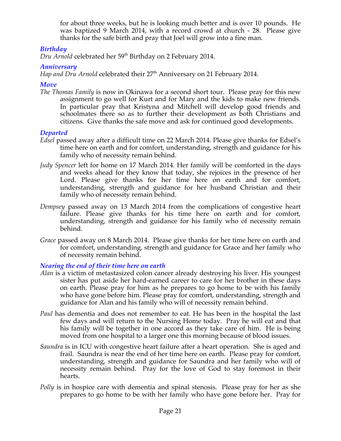for about three weeks, but he is looking much better and is over 10 pounds. He was baptized 9 March 2014, with a record crowd at church - 28. Please give thanks for the safe birth and pray that Joel will grow into a fine man.

# *Birthday*

*Dru Arnold* celebrated her 59<sup>th</sup> Birthday on 2 February 2014.

# *Anniversary*

*Hap and Dru Arnold* celebrated their 27<sup>th</sup> Anniversary on 21 February 2014.

# *Move*

*The Thomas Family* is now in Okinawa for a second short tour. Please pray for this new assignment to go well for Kurt and for Mary and the kids to make new friends. In particular pray that Kristyna and Mitchell will develop good friends and schoolmates there so as to further their development as both Christians and citizens. Give thanks the safe move and ask for continued good developments.

# *Departed*

- *Edsel* passed away after a difficult time on 22 March 2014. Please give thanks for Edsel's time here on earth and for comfort, understanding, strength and guidance for his family who of necessity remain behind.
- *Judy Spencer left for home on 17 March 2014. Her family will be comforted in the days* and weeks ahead for they know that today, she rejoices in the presence of her Lord. Please give thanks for her time here on earth and for comfort, understanding, strength and guidance for her husband Christian and their family who of necessity remain behind.
- *Dempsey* passed away on 13 March 2014 from the complications of congestive heart failure. Please give thanks for his time here on earth and for comfort, understanding, strength and guidance for his family who of necessity remain behind.
- *Grace* passed away on 8 March 2014. Please give thanks for her time here on earth and for comfort, understanding, strength and guidance for Grace and her family who of necessity remain behind.

# *Nearing the end of their time here on earth*

- *Alan* is a victim of metastasized colon cancer already destroying his liver. His youngest sister has put aside her hard-earned career to care for her brother in these days on earth. Please pray for him as he prepares to go home to be with his family who have gone before him. Please pray for comfort, understanding, strength and guidance for Alan and his family who will of necessity remain behind.
- *Paul* has dementia and does not remember to eat. He has been in the hospital the last few days and will return to the Nursing Home today. Pray he will eat and that his family will be together in one accord as they take care of him. He is being moved from one hospital to a larger one this morning because of blood issues.
- *Saundra* is in ICU with congestive heart failure after a heart operation. She is aged and frail. Saundra is near the end of her time here on earth. Please pray for comfort, understanding, strength and guidance for Saundra and her family who will of necessity remain behind. Pray for the love of God to stay foremost in their hearts.
- *Polly* is in hospice care with dementia and spinal stenosis. Please pray for her as she prepares to go home to be with her family who have gone before her. Pray for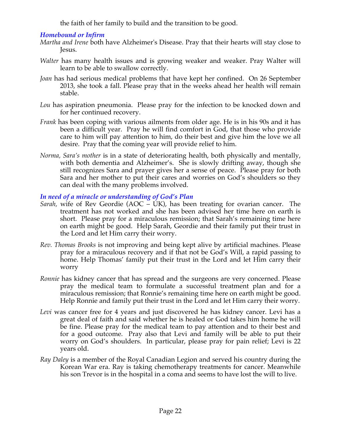the faith of her family to build and the transition to be good.

# *Homebound or Infirm*

- *Martha and Irene* both have Alzheimer's Disease. Pray that their hearts will stay close to Jesus.
- *Walter* has many health issues and is growing weaker and weaker. Pray Walter will learn to be able to swallow correctly.
- *Joan* has had serious medical problems that have kept her confined. On 26 September 2013, she took a fall. Please pray that in the weeks ahead her health will remain stable.
- *Lou* has aspiration pneumonia. Please pray for the infection to be knocked down and for her continued recovery.
- *Frank* has been coping with various ailments from older age. He is in his 90s and it has been a difficult year. Pray he will find comfort in God, that those who provide care to him will pay attention to him, do their best and give him the love we all desire. Pray that the coming year will provide relief to him.
- *Norma, Sara's mother* is in a state of deteriorating health, both physically and mentally, with both dementia and Alzheimer's. She is slowly drifting away, though she still recognizes Sara and prayer gives her a sense of peace. Please pray for both Sara and her mother to put their cares and worries on God's shoulders so they can deal with the many problems involved.

# *In need of a miracle or understanding of God's Plan*

- *Sarah,* wife of Rev Geordie (AOC UK), has been treating for ovarian cancer. The treatment has not worked and she has been advised her time here on earth is short. Please pray for a miraculous remission; that Sarah's remaining time here on earth might be good. Help Sarah, Geordie and their family put their trust in the Lord and let Him carry their worry.
- *Rev. Thomas Brooks* is not improving and being kept alive by artificial machines. Please pray for a miraculous recovery and if that not be God's Will, a rapid passing to home. Help Thomas' family put their trust in the Lord and let Him carry their worry
- *Ronnie* has kidney cancer that has spread and the surgeons are very concerned. Please pray the medical team to formulate a successful treatment plan and for a miraculous remission; that Ronnie's remaining time here on earth might be good. Help Ronnie and family put their trust in the Lord and let Him carry their worry.
- *Levi* was cancer free for 4 years and just discovered he has kidney cancer. Levi has a great deal of faith and said whether he is healed or God takes him home he will be fine. Please pray for the medical team to pay attention and to their best and for a good outcome. Pray also that Levi and family will be able to put their worry on God's shoulders. In particular, please pray for pain relief; Levi is 22 years old.
- *Ray Daley* is a member of the Royal Canadian Legion and served his country during the Korean War era. Ray is taking chemotherapy treatments for cancer. Meanwhile his son Trevor is in the hospital in a coma and seems to have lost the will to live.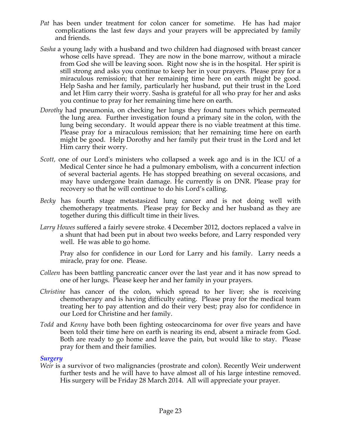- *Pat* has been under treatment for colon cancer for sometime. He has had major complications the last few days and your prayers will be appreciated by family and friends.
- *Sasha* a young lady with a husband and two children had diagnosed with breast cancer whose cells have spread. They are now in the bone marrow, without a miracle from God she will be leaving soon. Right now she is in the hospital. Her spirit is still strong and asks you continue to keep her in your prayers. Please pray for a miraculous remission; that her remaining time here on earth might be good. Help Sasha and her family, particularly her husband, put their trust in the Lord and let Him carry their worry. Sasha is grateful for all who pray for her and asks you continue to pray for her remaining time here on earth.
- *Dorothy* had pneumonia, on checking her lungs they found tumors which permeated the lung area. Further investigation found a primary site in the colon, with the lung being secondary. It would appear there is no viable treatment at this time. Please pray for a miraculous remission; that her remaining time here on earth might be good. Help Dorothy and her family put their trust in the Lord and let Him carry their worry.
- *Scott,* one of our Lord's ministers who collapsed a week ago and is in the ICU of a Medical Center since he had a pulmonary embolism, with a concurrent infection of several bacterial agents. He has stopped breathing on several occasions, and may have undergone brain damage. He currently is on DNR. Please pray for recovery so that he will continue to do his Lord's calling*.*
- *Becky* has fourth stage metastasized lung cancer and is not doing well with chemotherapy treatments. Please pray for Becky and her husband as they are together during this difficult time in their lives.
- *Larry Howes* suffered a fairly severe stroke. 4 December 2012, doctors replaced a valve in a shunt that had been put in about two weeks before, and Larry responded very well. He was able to go home.

Pray also for confidence in our Lord for Larry and his family. Larry needs a miracle, pray for one. Please.

- *Colleen* has been battling pancreatic cancer over the last year and it has now spread to one of her lungs. Please keep her and her family in your prayers.
- *Christine* has cancer of the colon, which spread to her liver; she is receiving chemotherapy and is having difficulty eating. Please pray for the medical team treating her to pay attention and do their very best; pray also for confidence in our Lord for Christine and her family.
- *Todd* and *Kenny* have both been fighting osteocarcinoma for over five years and have been told their time here on earth is nearing its end, absent a miracle from God. Both are ready to go home and leave the pain, but would like to stay. Please pray for them and their families.

#### *Surgery*

*Weir* is a survivor of two malignancies (prostrate and colon). Recently Weir underwent further tests and he will have to have almost all of his large intestine removed. His surgery will be Friday 28 March 2014. All will appreciate your prayer.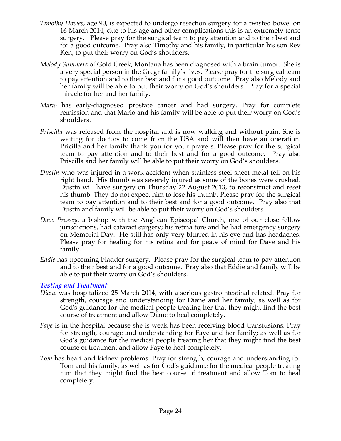- *Timothy Howes*, age 90, is expected to undergo resection surgery for a twisted bowel on 16 March 2014, due to his age and other complications this is an extremely tense surgery. Please pray for the surgical team to pay attention and to their best and for a good outcome. Pray also Timothy and his family, in particular his son Rev Ken, to put their worry on God's shoulders.
- *Melody Summers* of Gold Creek, Montana has been diagnosed with a brain tumor. She is a very special person in the Gregr family's lives. Please pray for the surgical team to pay attention and to their best and for a good outcome. Pray also Melody and her family will be able to put their worry on God's shoulders. Pray for a special miracle for her and her family.
- *Mario* has early-diagnosed prostate cancer and had surgery. Pray for complete remission and that Mario and his family will be able to put their worry on God's shoulders.
- *Priscilla* was released from the hospital and is now walking and without pain. She is waiting for doctors to come from the USA and will then have an operation. Pricilla and her family thank you for your prayers. Please pray for the surgical team to pay attention and to their best and for a good outcome. Pray also Priscilla and her family will be able to put their worry on God's shoulders.
- *Dustin* who was injured in a work accident when stainless steel sheet metal fell on his right hand. His thumb was severely injured as some of the bones were crushed. Dustin will have surgery on Thursday 22 August 2013, to reconstruct and reset his thumb. They do not expect him to lose his thumb. Please pray for the surgical team to pay attention and to their best and for a good outcome. Pray also that Dustin and family will be able to put their worry on God's shoulders.
- *Dave Pressey*, a bishop with the Anglican Episcopal Church, one of our close fellow jurisdictions, had cataract surgery; his retina tore and he had emergency surgery on Memorial Day. He still has only very blurred in his eye and has headaches. Please pray for healing for his retina and for peace of mind for Dave and his family.
- *Eddie* has upcoming bladder surgery. Please pray for the surgical team to pay attention and to their best and for a good outcome. Pray also that Eddie and family will be able to put their worry on God's shoulders.

#### *Testing and Treatment*

- *Diane* was hospitalized 25 March 2014, with a serious gastrointestinal related. Pray for strength, courage and understanding for Diane and her family; as well as for God's guidance for the medical people treating her that they might find the best course of treatment and allow Diane to heal completely.
- *Faye* is in the hospital because she is weak has been receiving blood transfusions. Pray for strength, courage and understanding for Faye and her family; as well as for God's guidance for the medical people treating her that they might find the best course of treatment and allow Faye to heal completely.
- *Tom* has heart and kidney problems. Pray for strength, courage and understanding for Tom and his family; as well as for God's guidance for the medical people treating him that they might find the best course of treatment and allow Tom to heal completely.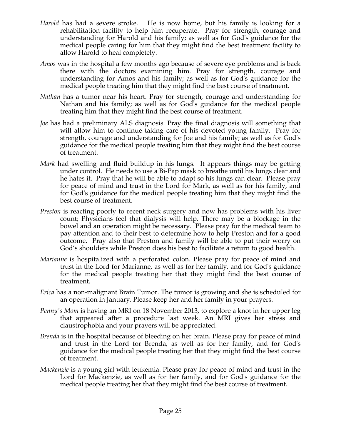- *Harold* has had a severe stroke. He is now home, but his family is looking for a rehabilitation facility to help him recuperate. Pray for strength, courage and understanding for Harold and his family; as well as for God's guidance for the medical people caring for him that they might find the best treatment facility to allow Harold to heal completely.
- *Amos* was in the hospital a few months ago because of severe eye problems and is back there with the doctors examining him. Pray for strength, courage and understanding for Amos and his family; as well as for God's guidance for the medical people treating him that they might find the best course of treatment.
- *Nathan* has a tumor near his heart. Pray for strength, courage and understanding for Nathan and his family; as well as for God's guidance for the medical people treating him that they might find the best course of treatment.
- *Joe* has had a preliminary ALS diagnosis. Pray the final diagnosis will something that will allow him to continue taking care of his devoted young family. Pray for strength, courage and understanding for Joe and his family; as well as for God's guidance for the medical people treating him that they might find the best course of treatment.
- *Mark* had swelling and fluid buildup in his lungs. It appears things may be getting under control. He needs to use a Bi-Pap mask to breathe until his lungs clear and he hates it. Pray that he will be able to adapt so his lungs can clear. Please pray for peace of mind and trust in the Lord for Mark, as well as for his family, and for God's guidance for the medical people treating him that they might find the best course of treatment.
- *Preston* is reacting poorly to recent neck surgery and now has problems with his liver count; Physicians feel that dialysis will help. There may be a blockage in the bowel and an operation might be necessary. Please pray for the medical team to pay attention and to their best to determine how to help Preston and for a good outcome. Pray also that Preston and family will be able to put their worry on God's shoulders while Preston does his best to facilitate a return to good health.
- *Marianne* is hospitalized with a perforated colon. Please pray for peace of mind and trust in the Lord for Marianne, as well as for her family, and for God's guidance for the medical people treating her that they might find the best course of treatment.
- *Erica* has a non-malignant Brain Tumor. The tumor is growing and she is scheduled for an operation in January. Please keep her and her family in your prayers.
- *Penny's Mom is having an MRI on 18 November 2013, to explore a knot in her upper leg* that appeared after a procedure last week. An MRI gives her stress and claustrophobia and your prayers will be appreciated.
- *Brenda* is in the hospital because of bleeding on her brain. Please pray for peace of mind and trust in the Lord for Brenda, as well as for her family, and for God's guidance for the medical people treating her that they might find the best course of treatment.
- *Mackenzie* is a young girl with leukemia. Please pray for peace of mind and trust in the Lord for Mackenzie, as well as for her family, and for God's guidance for the medical people treating her that they might find the best course of treatment.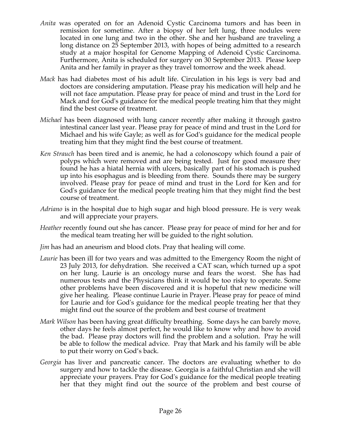- *Anita* was operated on for an Adenoid Cystic Carcinoma tumors and has been in remission for sometime. After a biopsy of her left lung, three nodules were located in one lung and two in the other. She and her husband are traveling a long distance on 25 September 2013, with hopes of being admitted to a research study at a major hospital for Genome Mapping of Adenoid Cystic Carcinoma. Furthermore, Anita is scheduled for surgery on 30 September 2013. Please keep Anita and her family in prayer as they travel tomorrow and the week ahead.
- *Mack* has had diabetes most of his adult life. Circulation in his legs is very bad and doctors are considering amputation. Please pray his medication will help and he will not face amputation. Please pray for peace of mind and trust in the Lord for Mack and for God's guidance for the medical people treating him that they might find the best course of treatment.
- *Michael* has been diagnosed with lung cancer recently after making it through gastro intestinal cancer last year. Please pray for peace of mind and trust in the Lord for Michael and his wife Gayle; as well as for God's guidance for the medical people treating him that they might find the best course of treatment.
- *Ken Strauch* has been tired and is anemic, he had a colonoscopy which found a pair of polyps which were removed and are being tested. Just for good measure they found he has a hiatal hernia with ulcers, basically part of his stomach is pushed up into his esophagus and is bleeding from there. Sounds there may be surgery involved. Please pray for peace of mind and trust in the Lord for Ken and for God's guidance for the medical people treating him that they might find the best course of treatment.
- *Adriano* is in the hospital due to high sugar and high blood pressure. He is very weak and will appreciate your prayers.
- *Heather* recently found out she has cancer. Please pray for peace of mind for her and for the medical team treating her will be guided to the right solution.
- *Jim* has had an aneurism and blood clots. Pray that healing will come.
- *Laurie* has been ill for two years and was admitted to the Emergency Room the night of 23 July 2013, for dehydration. She received a CAT scan, which turned up a spot on her lung. Laurie is an oncology nurse and fears the worst. She has had numerous tests and the Physicians think it would be too risky to operate. Some other problems have been discovered and it is hopeful that new medicine will give her healing. Please continue Laurie in Prayer. Please pray for peace of mind for Laurie and for God's guidance for the medical people treating her that they might find out the source of the problem and best course of treatment
- *Mark Wilson* has been having great difficulty breathing. Some days he can barely move, other days he feels almost perfect, he would like to know why and how to avoid the bad. Please pray doctors will find the problem and a solution. Pray he will be able to follow the medical advice. Pray that Mark and his family will be able to put their worry on God's back.
- *Georgia* has liver and pancreatic cancer. The doctors are evaluating whether to do surgery and how to tackle the disease. Georgia is a faithful Christian and she will appreciate your prayers. Pray for God's guidance for the medical people treating her that they might find out the source of the problem and best course of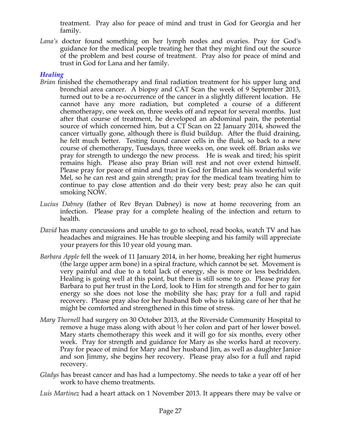treatment. Pray also for peace of mind and trust in God for Georgia and her family.

*Lana's* doctor found something on her lymph nodes and ovaries. Pray for God's guidance for the medical people treating her that they might find out the source of the problem and best course of treatment. Pray also for peace of mind and trust in God for Lana and her family.

# *Healing*

- *Brian* finished the chemotherapy and final radiation treatment for his upper lung and bronchial area cancer. A biopsy and CAT Scan the week of 9 September 2013, turned out to be a re-occurrence of the cancer in a slightly different location. He cannot have any more radiation, but completed a course of a different chemotherapy, one week on, three weeks off and repeat for several months. Just after that course of treatment, he developed an abdominal pain, the potential source of which concerned him, but a CT Scan on 22 January 2014, showed the cancer virtually gone, although there is fluid buildup. After the fluid draining, he felt much better. Testing found cancer cells in the fluid, so back to a new course of chemotherapy, Tuesdays, three weeks on, one week off. Brian asks we pray for strength to undergo the new process. He is weak and tired; his spirit remains high. Please also pray Brian will rest and not over extend himself. Please pray for peace of mind and trust in God for Brian and his wonderful wife Mel, so he can rest and gain strength; pray for the medical team treating him to continue to pay close attention and do their very best; pray also he can quit smoking NOW.
- *Lucius Dabney* (father of Rev Bryan Dabney) is now at home recovering from an infection. Please pray for a complete healing of the infection and return to health.
- *David* has many concussions and unable to go to school, read books, watch TV and has headaches and migraines. He has trouble sleeping and his family will appreciate your prayers for this 10 year old young man.
- *Barbara Apple* fell the week of 11 January 2014, in her home, breaking her right humerus (the large upper arm bone) in a spiral fracture, which cannot be set. Movement is very painful and due to a total lack of energy, she is more or less bedridden. Healing is going well at this point, but there is still some to go. Please pray for Barbara to put her trust in the Lord, look to Him for strength and for her to gain energy so she does not lose the mobility she has; pray for a full and rapid recovery. Please pray also for her husband Bob who is taking care of her that he might be comforted and strengthened in this time of stress.
- *Mary Thornell* had surgery on 30 October 2013, at the Riverside Community Hospital to remove a huge mass along with about ½ her colon and part of her lower bowel. Mary starts chemotherapy this week and it will go for six months, every other week. Pray for strength and guidance for Mary as she works hard at recovery. Pray for peace of mind for Mary and her husband Jim, as well as daughter Janice and son Jimmy, she begins her recovery. Please pray also for a full and rapid recovery.
- *Gladys* has breast cancer and has had a lumpectomy. She needs to take a year off of her work to have chemo treatments.
- *Luis Martinez* had a heart attack on 1 November 2013. It appears there may be valve or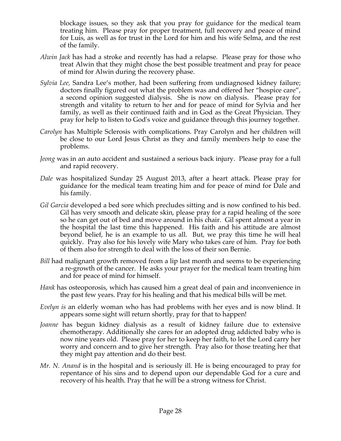blockage issues, so they ask that you pray for guidance for the medical team treating him. Please pray for proper treatment, full recovery and peace of mind for Luis, as well as for trust in the Lord for him and his wife Selma, and the rest of the family.

- *Alwin Jack* has had a stroke and recently has had a relapse. Please pray for those who treat Alwin that they might chose the best possible treatment and pray for peace of mind for Alwin during the recovery phase.
- *Sylvia Lee,* Sandra Lee's mother, had been suffering from undiagnosed kidney failure; doctors finally figured out what the problem was and offered her "hospice care", a second opinion suggested dialysis. She is now on dialysis. Please pray for strength and vitality to return to her and for peace of mind for Sylvia and her family, as well as their continued faith and in God as the Great Physician. They pray for help to listen to God's voice and guidance through this journey together.
- *Carolyn* has Multiple Sclerosis with complications. Pray Carolyn and her children will be close to our Lord Jesus Christ as they and family members help to ease the problems.
- *Jeong* was in an auto accident and sustained a serious back injury. Please pray for a full and rapid recovery.
- *Dale* was hospitalized Sunday 25 August 2013, after a heart attack. Please pray for guidance for the medical team treating him and for peace of mind for Dale and his family.
- *Gil Garcia* developed a bed sore which precludes sitting and is now confined to his bed. Gil has very smooth and delicate skin, please pray for a rapid healing of the sore so he can get out of bed and move around in his chair. Gil spent almost a year in the hospital the last time this happened. His faith and his attitude are almost beyond belief, he is an example to us all. But, we pray this time he will heal quickly. Pray also for his lovely wife Mary who takes care of him. Pray for both of them also for strength to deal with the loss of their son Bernie.
- *Bill* had malignant growth removed from a lip last month and seems to be experiencing a re-growth of the cancer. He asks your prayer for the medical team treating him and for peace of mind for himself.
- *Hank* has osteoporosis, which has caused him a great deal of pain and inconvenience in the past few years. Pray for his healing and that his medical bills will be met.
- *Evelyn is* an elderly woman who has had problems with her eyes and is now blind. It appears some sight will return shortly, pray for that to happen!
- *Joanne* has begun kidney dialysis as a result of kidney failure due to extensive chemotherapy. Additionally she cares for an adopted drug addicted baby who is now nine years old. Please pray for her to keep her faith, to let the Lord carry her worry and concern and to give her strength. Pray also for those treating her that they might pay attention and do their best.
- *Mr. N. Anand* is in the hospital and is seriously ill. He is being encouraged to pray for repentance of his sins and to depend upon our dependable God for a cure and recovery of his health. Pray that he will be a strong witness for Christ.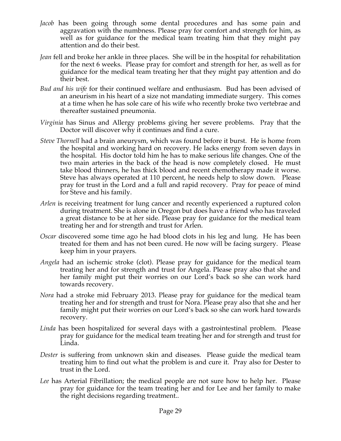- *Jacob* has been going through some dental procedures and has some pain and aggravation with the numbness. Please pray for comfort and strength for him, as well as for guidance for the medical team treating him that they might pay attention and do their best.
- *Jean* fell and broke her ankle in three places. She will be in the hospital for rehabilitation for the next 6 weeks. Please pray for comfort and strength for her, as well as for guidance for the medical team treating her that they might pay attention and do their best.
- *Bud and his wife* for their continued welfare and enthusiasm. Bud has been advised of an aneurism in his heart of a size not mandating immediate surgery. This comes at a time when he has sole care of his wife who recently broke two vertebrae and thereafter sustained pneumonia.
- *Virginia* has Sinus and Allergy problems giving her severe problems. Pray that the Doctor will discover why it continues and find a cure.
- *Steve Thornell* had a brain aneurysm, which was found before it burst. He is home from the hospital and working hard on recovery. He lacks energy from seven days in the hospital. His doctor told him he has to make serious life changes. One of the two main arteries in the back of the head is now completely closed. He must take blood thinners, he has thick blood and recent chemotherapy made it worse. Steve has always operated at 110 percent, he needs help to slow down. Please pray for trust in the Lord and a full and rapid recovery. Pray for peace of mind for Steve and his family.
- *Arlen* is receiving treatment for lung cancer and recently experienced a ruptured colon during treatment. She is alone in Oregon but does have a friend who has traveled a great distance to be at her side. Please pray for guidance for the medical team treating her and for strength and trust for Arlen.
- *Oscar* discovered some time ago he had blood clots in his leg and lung. He has been treated for them and has not been cured. He now will be facing surgery. Please keep him in your prayers.
- *Angela* had an ischemic stroke (clot). Please pray for guidance for the medical team treating her and for strength and trust for Angela. Please pray also that she and her family might put their worries on our Lord's back so she can work hard towards recovery.
- *Nora* had a stroke mid February 2013. Please pray for guidance for the medical team treating her and for strength and trust for Nora. Please pray also that she and her family might put their worries on our Lord's back so she can work hard towards recovery.
- *Linda* has been hospitalized for several days with a gastrointestinal problem. Please pray for guidance for the medical team treating her and for strength and trust for Linda.
- *Dester* is suffering from unknown skin and diseases. Please guide the medical team treating him to find out what the problem is and cure it. Pray also for Dester to trust in the Lord.
- *Lee* has Arterial Fibrillation; the medical people are not sure how to help her. Please pray for guidance for the team treating her and for Lee and her family to make the right decisions regarding treatment..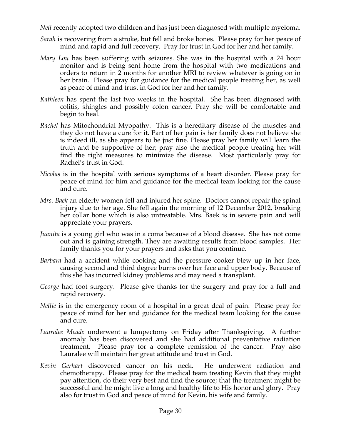*Nell* recently adopted two children and has just been diagnosed with multiple myeloma.

- *Sarah* is recovering from a stroke, but fell and broke bones. Please pray for her peace of mind and rapid and full recovery. Pray for trust in God for her and her family.
- *Mary Lou* has been suffering with seizures. She was in the hospital with a 24 hour monitor and is being sent home from the hospital with two medications and orders to return in 2 months for another MRI to review whatever is going on in her brain. Please pray for guidance for the medical people treating her, as well as peace of mind and trust in God for her and her family.
- *Kathleen* has spent the last two weeks in the hospital. She has been diagnosed with colitis, shingles and possibly colon cancer. Pray she will be comfortable and begin to heal.
- *Rachel* has Mitochondrial Myopathy. This is a hereditary disease of the muscles and they do not have a cure for it. Part of her pain is her family does not believe she is indeed ill, as she appears to be just fine. Please pray her family will learn the truth and be supportive of her; pray also the medical people treating her will find the right measures to minimize the disease. Most particularly pray for Rachel's trust in God.
- *Nicolas* is in the hospital with serious symptoms of a heart disorder. Please pray for peace of mind for him and guidance for the medical team looking for the cause and cure.
- *Mrs. Baek* an elderly women fell and injured her spine. Doctors cannot repair the spinal injury due to her age. She fell again the morning of 12 December 2012, breaking her collar bone which is also untreatable. Mrs. Baek is in severe pain and will appreciate your prayers.
- *Juanita* is a young girl who was in a coma because of a blood disease. She has not come out and is gaining strength. They are awaiting results from blood samples. Her family thanks you for your prayers and asks that you continue.
- *Barbara* had a accident while cooking and the pressure cooker blew up in her face, causing second and third degree burns over her face and upper body. Because of this she has incurred kidney problems and may need a transplant.
- *George* had foot surgery. Please give thanks for the surgery and pray for a full and rapid recovery.
- *Nellie* is in the emergency room of a hospital in a great deal of pain. Please pray for peace of mind for her and guidance for the medical team looking for the cause and cure.
- *Lauralee Meade* underwent a lumpectomy on Friday after Thanksgiving. A further anomaly has been discovered and she had additional preventative radiation treatment. Please pray for a complete remission of the cancer. Pray also Lauralee will maintain her great attitude and trust in God.
- *Kevin Gerhart* discovered cancer on his neck. He underwent radiation and chemotherapy. Please pray for the medical team treating Kevin that they might pay attention, do their very best and find the source; that the treatment might be successful and he might live a long and healthy life to His honor and glory. Pray also for trust in God and peace of mind for Kevin, his wife and family.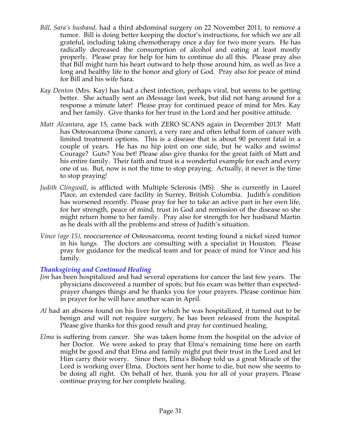- *Bill, Sara's husband,* had a third abdominal surgery on 22 November 2011, to remove a tumor. Bill is doing better keeping the doctor's instructions, for which we are all grateful, including taking chemotherapy once a day for two more years. He has radically decreased the consumption of alcohol and eating at least mostly properly. Please pray for help for him to continue do all this. Please pray also that Bill might turn his heart outward to help those around him, as well as live a long and healthy life to the honor and glory of God. Pray also for peace of mind for Bill and his wife Sara.
- *Kay Denton* (Mrs. Kay) has had a chest infection, perhaps viral, but seems to be getting better. She actually sent an iMessage last week, but did not hang around for a response a minute later! Please pray for continued peace of mind for Mrs. Kay and her family. Give thanks for her trust in the Lord and her positive attitude.
- *Matt Alcantara*, age 15, came back with ZERO SCANS again in December 2013! Matt has Osteosarcoma (bone cancer), a very rare and often lethal form of cancer with limited treatment options. This is a disease that is about 90 percent fatal in a couple of years. He has no hip joint on one side, but he walks and swims! Courage? Guts? You bet! Please also give thanks for the great faith of Matt and his entire family. Their faith and trust is a wonderful example for each and every one of us. But, now is not the time to stop praying. Actually, it never is the time to stop praying!
- *Judith Clingwall*, is afflicted with Multiple Sclerosis (MS). She is currently in Laurel Place, an extended care facility in Surrey, British Columbia. Judith's condition has worsened recently. Please pray for her to take an active part in her own life, for her strength, peace of mind, trust in God and remission of the disease so she might return home to her family. Pray also for strength for her husband Martin as he deals with all the problems and stress of Judith's situation.
- *Vince (age 15),* reoccurrence of Osteosarcoma, recent testing found a nickel sized tumor in his lungs. The doctors are consulting with a specialist in Houston. Please pray for guidance for the medical team and for peace of mind for Vince and his family.

# *Thanksgiving and Continued Healing*

- *Jim* has been hospitalized and had several operations for cancer the last few years. The physicians discovered a number of spots; but his exam was better than expectedprayer changes things and he thanks you for your prayers. Please continue him in prayer for he will have another scan in April.
- *Al* had an abscess found on his liver for which he was hospitalized, it turned out to be benign and will not require surgery, he has been released from the hospital. Please give thanks for this good result and pray for continued healing.
- *Elma* is suffering from cancer. She was taken home from the hospital on the advice of her Doctor. We were asked to pray that Elma's remaining time here on earth might be good and that Elma and family might put their trust in the Lord and let Him carry their worry. Since then, Elma's Bishop told us a great Miracle of the Lord is working over Elma. Doctors sent her home to die, but now she seems to be doing all right. On behalf of her, thank you for all of your prayers. Please continue praying for her complete healing.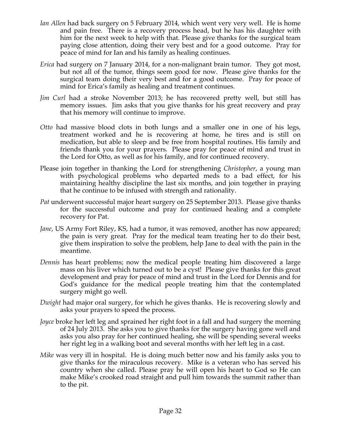- *Ian Allen* had back surgery on 5 February 2014, which went very very well. He is home and pain free. There is a recovery process head, but he has his daughter with him for the next week to help with that. Please give thanks for the surgical team paying close attention, doing their very best and for a good outcome. Pray for peace of mind for Ian and his family as healing continues.
- *Erica* had surgery on 7 January 2014, for a non-malignant brain tumor. They got most, but not all of the tumor, things seem good for now. Please give thanks for the surgical team doing their very best and for a good outcome. Pray for peace of mind for Erica's family as healing and treatment continues.
- *Jim Curl* had a stroke November 2013; he has recovered pretty well, but still has memory issues. Jim asks that you give thanks for his great recovery and pray that his memory will continue to improve.
- *Otto* had massive blood clots in both lungs and a smaller one in one of his legs, treatment worked and he is recovering at home, he tires and is still on medication, but able to sleep and be free from hospital routines. His family and friends thank you for your prayers. Please pray for peace of mind and trust in the Lord for Otto, as well as for his family, and for continued recovery.
- Please join together in thanking the Lord for strengthening *Christopher*, a young man with psychological problems who departed meds to a bad effect, for his maintaining healthy discipline the last six months, and join together in praying that he continue to be infused with strength and rationality.
- *Pat* underwent successful major heart surgery on 25 September 2013. Please give thanks for the successful outcome and pray for continued healing and a complete recovery for Pat.
- *Jane*, US Army Fort Riley, KS, had a tumor, it was removed, another has now appeared; the pain is very great. Pray for the medical team treating her to do their best, give them inspiration to solve the problem, help Jane to deal with the pain in the meantime.
- *Dennis* has heart problems; now the medical people treating him discovered a large mass on his liver which turned out to be a cyst! Please give thanks for this great development and pray for peace of mind and trust in the Lord for Dennis and for God's guidance for the medical people treating him that the contemplated surgery might go well.
- *Dwight* had major oral surgery, for which he gives thanks. He is recovering slowly and asks your prayers to speed the process.
- *Joyce* broke her left leg and sprained her right foot in a fall and had surgery the morning of 24 July 2013. She asks you to give thanks for the surgery having gone well and asks you also pray for her continued healing, she will be spending several weeks her right leg in a walking boot and several months with her left leg in a cast.
- *Mike* was very ill in hospital. He is doing much better now and his family asks you to give thanks for the miraculous recovery. Mike is a veteran who has served his country when she called. Please pray he will open his heart to God so He can make Mike's crooked road straight and pull him towards the summit rather than to the pit.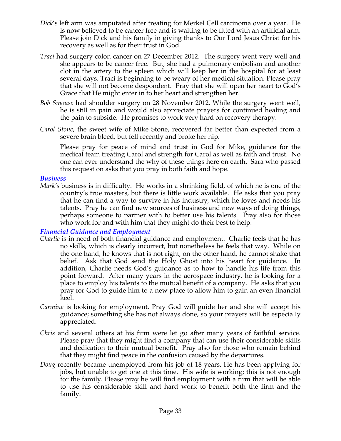- *Dick*'s left arm was amputated after treating for Merkel Cell carcinoma over a year. He is now believed to be cancer free and is waiting to be fitted with an artificial arm. Please join Dick and his family in giving thanks to Our Lord Jesus Christ for his recovery as well as for their trust in God.
- *Traci* had surgery colon cancer on 27 December 2012. The surgery went very well and she appears to be cancer free. But, she had a pulmonary embolism and another clot in the artery to the spleen which will keep her in the hospital for at least several days. Traci is beginning to be weary of her medical situation. Please pray that she will not become despondent. Pray that she will open her heart to God's Grace that He might enter in to her heart and strengthen her.
- *Bob Smouse* had shoulder surgery on 28 November 2012. While the surgery went well, he is still in pain and would also appreciate prayers for continued healing and the pain to subside. He promises to work very hard on recovery therapy.
- *Carol Stone*, the sweet wife of Mike Stone, recovered far better than expected from a severe brain bleed, but fell recently and broke her hip.

Please pray for peace of mind and trust in God for Mike, guidance for the medical team treating Carol and strength for Carol as well as faith and trust. No one can ever understand the why of these things here on earth. Sara who passed this request on asks that you pray in both faith and hope.

#### *Business*

*Mark's* business is in difficulty. He works in a shrinking field, of which he is one of the country's true masters, but there is little work available. He asks that you pray that he can find a way to survive in his industry, which he loves and needs his talents. Pray he can find new sources of business and new ways of doing things, perhaps someone to partner with to better use his talents. Pray also for those who work for and with him that they might do their best to help.

#### *Financial Guidance and Employment*

- *Charlie* is in need of both financial guidance and employment. Charlie feels that he has no skills, which is clearly incorrect, but nonetheless he feels that way. While on the one hand, he knows that is not right, on the other hand, he cannot shake that belief. Ask that God send the Holy Ghost into his heart for guidance. In addition, Charlie needs God's guidance as to how to handle his life from this point forward. After many years in the aerospace industry, he is looking for a place to employ his talents to the mutual benefit of a company. He asks that you pray for God to guide him to a new place to allow him to gain an even financial keel.
- *Carmine* is looking for employment. Pray God will guide her and she will accept his guidance; something she has not always done, so your prayers will be especially appreciated.
- *Chris* and several others at his firm were let go after many years of faithful service. Please pray that they might find a company that can use their considerable skills and dedication to their mutual benefit. Pray also for those who remain behind that they might find peace in the confusion caused by the departures.
- *Doug* recently became unemployed from his job of 18 years. He has been applying for jobs, but unable to get one at this time. His wife is working; this is not enough for the family. Please pray he will find employment with a firm that will be able to use his considerable skill and hard work to benefit both the firm and the family.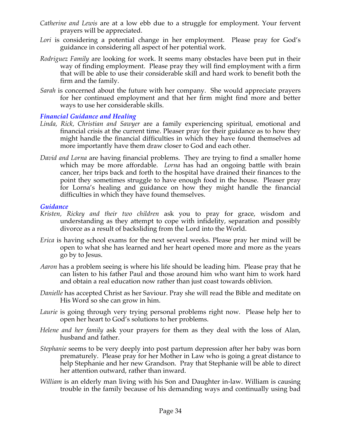- *Catherine and Lewis* are at a low ebb due to a struggle for employment. Your fervent prayers will be appreciated.
- Lori is considering a potential change in her employment. Please pray for God's guidance in considering all aspect of her potential work.
- *Rodriguez Family* are looking for work. It seems many obstacles have been put in their way of finding employment. Please pray they will find employment with a firm that will be able to use their considerable skill and hard work to benefit both the firm and the family.
- *Sarah* is concerned about the future with her company. She would appreciate prayers for her continued employment and that her firm might find more and better ways to use her considerable skills.

# *Financial Guidance and Healing*

- *Linda, Rick, Christian and Sawyer* are a family experiencing spiritual, emotional and financial crisis at the current time. Pleaser pray for their guidance as to how they might handle the financial difficulties in which they have found themselves ad more importantly have them draw closer to God and each other.
- *David and Lorna* are having financial problems. They are trying to find a smaller home which may be more affordable. *Lorna* has had an ongoing battle with brain cancer, her trips back and forth to the hospital have drained their finances to the point they sometimes struggle to have enough food in the house. Pleaser pray for Lorna's healing and guidance on how they might handle the financial difficulties in which they have found themselves.

#### *Guidance*

- *Kristen, Rickey and their two children* ask you to pray for grace, wisdom and understanding as they attempt to cope with infidelity, separation and possibly divorce as a result of backsliding from the Lord into the World.
- *Erica* is having school exams for the next several weeks. Please pray her mind will be open to what she has learned and her heart opened more and more as the years go by to Jesus.
- *Aaron* has a problem seeing is where his life should be leading him. Please pray that he can listen to his father Paul and those around him who want him to work hard and obtain a real education now rather than just coast towards oblivion.
- *Danielle* has accepted Christ as her Saviour. Pray she will read the Bible and meditate on His Word so she can grow in him.
- *Laurie* is going through very trying personal problems right now. Please help her to open her heart to God's solutions to her problems.
- *Helene and her family* ask your prayers for them as they deal with the loss of Alan, husband and father.
- *Stephanie* seems to be very deeply into post partum depression after her baby was born prematurely. Please pray for her Mother in Law who is going a great distance to help Stephanie and her new Grandson. Pray that Stephanie will be able to direct her attention outward, rather than inward.
- *William* is an elderly man living with his Son and Daughter in-law. William is causing trouble in the family because of his demanding ways and continually using bad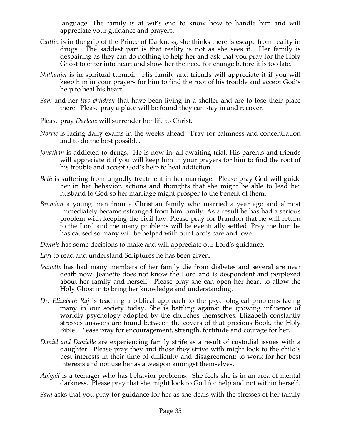language. The family is at wit's end to know how to handle him and will appreciate your guidance and prayers.

- *Caitlin* is in the grip of the Prince of Darkness; she thinks there is escape from reality in drugs. The saddest part is that reality is not as she sees it. Her family is despairing as they can do nothing to help her and ask that you pray for the Holy Ghost to enter into heart and show her the need for change before it is too late.
- *Nathaniel* is in spiritual turmoil. His family and friends will appreciate it if you will keep him in your prayers for him to find the root of his trouble and accept God's help to heal his heart.
- *Sam* and her *two children* that have been living in a shelter and are to lose their place there. Please pray a place will be found they can stay in and recover.
- Please pray *Darlene* will surrender her life to Christ.
- *Norrie* is facing daily exams in the weeks ahead. Pray for calmness and concentration and to do the best possible.
- *Jonathan* is addicted to drugs. He is now in jail awaiting trial. His parents and friends will appreciate it if you will keep him in your prayers for him to find the root of his trouble and accept God's help to heal addiction.
- *Beth* is suffering from ungodly treatment in her marriage. Please pray God will guide her in her behavior, actions and thoughts that she might be able to lead her husband to God so her marriage might prosper to the benefit of them.
- *Brandon* a young man from a Christian family who married a year ago and almost immediately became estranged from him family. As a result he has had a serious problem with keeping the civil law. Please pray for Brandon that he will return to the Lord and the many problems will be eventually settled. Pray the hurt he has caused so many will be helped with our Lord's care and love.

*Dennis* has some decisions to make and will appreciate our Lord's guidance.

- *Earl* to read and understand Scriptures he has been given.
- *Jeanette* has had many members of her family die from diabetes and several are near death now. Jeanette does not know the Lord and is despondent and perplexed about her family and herself. Please pray she can open her heart to allow the Holy Ghost in to bring her knowledge and understanding.
- *Dr. Elizabeth Raj* is teaching a biblical approach to the psychological problems facing many in our society today. She is battling against the growing influence of worldly psychology adopted by the churches themselves. Elizabeth constantly stresses answers are found between the covers of that precious Book, the Holy Bible. Please pray for encouragement, strength, fortitude and courage for her.
- *Daniel and Danielle* are experiencing family strife as a result of custodial issues with a daughter. Please pray they and those they strive with might look to the child's best interests in their time of difficulty and disagreement; to work for her best interests and not use her as a weapon amongst themselves.
- *Abigail* is a teenager who has behavior problems. She feels she is in an area of mental darkness. Please pray that she might look to God for help and not within herself.

*Sara* asks that you pray for guidance for her as she deals with the stresses of her family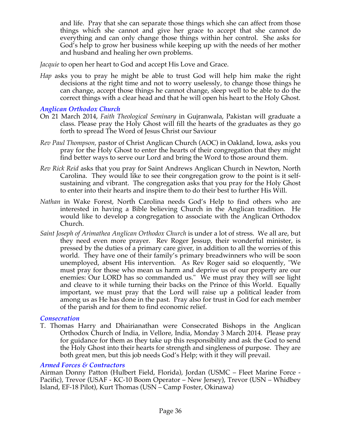and life. Pray that she can separate those things which she can affect from those things which she cannot and give her grace to accept that she cannot do everything and can only change those things within her control. She asks for God's help to grow her business while keeping up with the needs of her mother and husband and healing her own problems.

*Jacquie* to open her heart to God and accept His Love and Grace.

*Hap* asks you to pray he might be able to trust God will help him make the right decisions at the right time and not to worry uselessly, to change those things he can change, accept those things he cannot change, sleep well to be able to do the correct things with a clear head and that he will open his heart to the Holy Ghost.

# *Anglican Orthodox Church*

- On 21 March 2014, *Faith Theological Seminary* in Gujranwala, Pakistan will graduate a class. Please pray the Holy Ghost will fill the hearts of the graduates as they go forth to spread The Word of Jesus Christ our Saviour
- *Rev Paul Thompson,* pastor of Christ Anglican Church (AOC) in Oakland, Iowa, asks you pray for the Holy Ghost to enter the hearts of their congregation that they might find better ways to serve our Lord and bring the Word to those around them.
- *Rev Rick Reid* asks that you pray for Saint Andrews Anglican Church in Newton, North Carolina. They would like to see their congregation grow to the point is it selfsustaining and vibrant. The congregation asks that you pray for the Holy Ghost to enter into their hearts and inspire them to do their best to further His Will.
- *Nathan* in Wake Forest, North Carolina needs God's Help to find others who are interested in having a Bible believing Church in the Anglican tradition. He would like to develop a congregation to associate with the Anglican Orthodox Church.
- *Saint Joseph of Arimathea Anglican Orthodox Church* is under a lot of stress. We all are, but they need even more prayer. Rev Roger Jessup, their wonderful minister, is pressed by the duties of a primary care giver, in addition to all the worries of this world. They have one of their family's primary breadwinners who will be soon unemployed, absent His intervention. As Rev Roger said so eloquently, "We must pray for those who mean us harm and deprive us of our property are our enemies: Our LORD has so commanded us." We must pray they will see light and cleave to it while turning their backs on the Prince of this World. Equally important, we must pray that the Lord will raise up a political leader from among us as He has done in the past. Pray also for trust in God for each member of the parish and for them to find economic relief.

#### *Consecration*

T. Thomas Harry and Dhairianathan were Consecrated Bishops in the Anglican Orthodox Church of India, in Vellore, India, Monday 3 March 2014. Please pray for guidance for them as they take up this responsibility and ask the God to send the Holy Ghost into their hearts for strength and singleness of purpose. They are both great men, but this job needs God's Help; with it they will prevail.

#### *Armed Forces & Contractors*

Airman Donny Patton (Hulbert Field, Florida), Jordan (USMC – Fleet Marine Force - Pacific), Trevor (USAF - KC-10 Boom Operator – New Jersey), Trevor (USN – Whidbey Island, EF-18 Pilot), Kurt Thomas (USN – Camp Foster, Okinawa)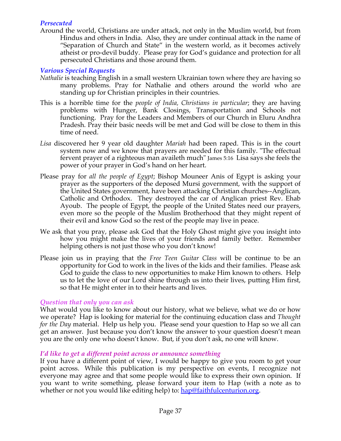# *Persecuted*

Around the world, Christians are under attack, not only in the Muslim world, but from Hindus and others in India. Also, they are under continual attack in the name of "Separation of Church and State" in the western world, as it becomes actively atheist or pro-devil buddy. Please pray for God's guidance and protection for all persecuted Christians and those around them.

# *Various Special Requests*

- *Nathalie* is teaching English in a small western Ukrainian town where they are having so many problems. Pray for Nathalie and others around the world who are standing up for Christian principles in their countries.
- This is a horrible time for the *people of India, Christians in particular*; they are having problems with Hunger, Bank Closings, Transportation and Schools not functioning. Pray for the Leaders and Members of our Church in Eluru Andhra Pradesh. Pray their basic needs will be met and God will be close to them in this time of need.
- *Lisa* discovered her 9 year old daughter *Mariah* had been raped. This is in the court system now and we know that prayers are needed for this family. "The effectual fervent prayer of a righteous man availeth much" James 5:16 Lisa says she feels the power of your prayer in God's hand on her heart.
- Please pray for *all the people of Egypt*; Bishop Mouneer Anis of Egypt is asking your prayer as the supporters of the deposed Mursi government, with the support of the United States government, have been attacking Christian churches--Anglican, Catholic and Orthodox. They destroyed the car of Anglican priest Rev. Ehab Ayoub. The people of Egypt, the people of the United States need our prayers, even more so the people of the Muslim Brotherhood that they might repent of their evil and know God so the rest of the people may live in peace.
- We ask that you pray, please ask God that the Holy Ghost might give you insight into how you might make the lives of your friends and family better. Remember helping others is not just those who you don't know!
- Please join us in praying that the *Free Teen Guitar Class* will be continue to be an opportunity for God to work in the lives of the kids and their families. Please ask God to guide the class to new opportunities to make Him known to others. Help us to let the love of our Lord shine through us into their lives, putting Him first, so that He might enter in to their hearts and lives.

#### *Question that only you can ask*

What would you like to know about our history, what we believe, what we do or how we operate? Hap is looking for material for the continuing education class and *Thought for the Day* material. Help us help you. Please send your question to Hap so we all can get an answer. Just because you don't know the answer to your question doesn't mean you are the only one who doesn't know. But, if you don't ask, no one will know.

#### *I'd like to get a different point across or announce something*

If you have a different point of view, I would be happy to give you room to get your point across. While this publication is my perspective on events, I recognize not everyone may agree and that some people would like to express their own opinion. If you want to write something, please forward your item to Hap (with a note as to whether or not you would like editing help) to: hap@faithfulcenturion.org.